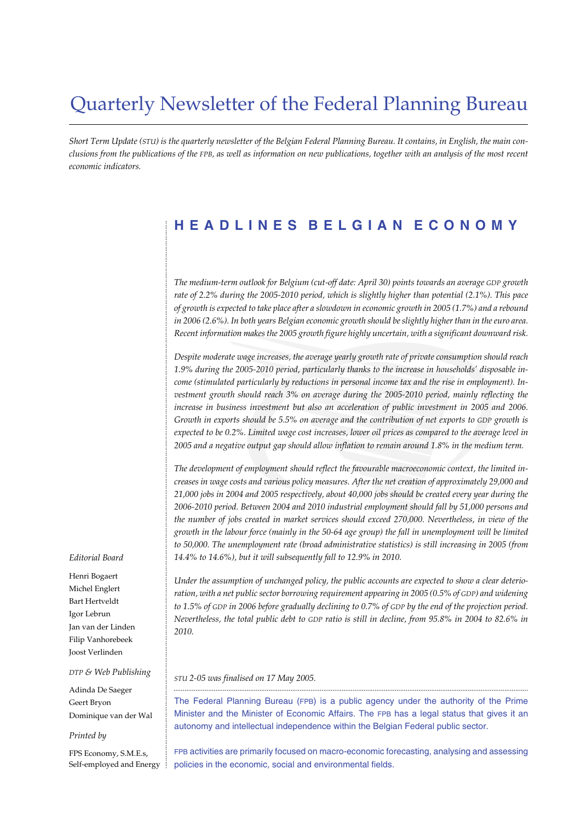## Quarterly Newsletter of the Federal Planning Bureau

*Short Term Update (STU) is the quarterly newsletter of the Belgian Federal Planning Bureau. It contains, in English, the main conclusions from the publications of the FPB, as well as information on new publications, together with an analysis of the most recent economic indicators.*

## **HEADLINES BELGIAN ECONOMY**

*The medium-term outlook for Belgium (cut-off date: April 30) points towards an average GDP growth rate of 2.2% during the 2005-2010 period, which is slightly higher than potential (2.1%). This pace of growth is expected to take place after a slowdown in economic growth in 2005 (1.7%) and a rebound in 2006 (2.6%). In both years Belgian economic growth should be slightly higher than in the euro area. Recent information makes the 2005 growth figure highly uncertain, with a significant downward risk.*

*Despite moderate wage increases, the average yearly growth rate of private consumption should reach 1.9% during the 2005-2010 period, particularly thanks to the increase in households' disposable income (stimulated particularly by reductions in personal income tax and the rise in employment). Investment growth should reach 3% on average during the 2005-2010 period, mainly reflecting the increase in business investment but also an acceleration of public investment in 2005 and 2006. Growth in exports should be 5.5% on average and the contribution of net exports to GDP growth is expected to be 0.2%. Limited wage cost increases, lower oil prices as compared to the average level in 2005 and a negative output gap should allow inflation to remain around 1.8% in the medium term.*

*The development of employment should reflect the favourable macroeconomic context, the limited increases in wage costs and various policy measures. After the net creation of approximately 29,000 and 21,000 jobs in 2004 and 2005 respectively, about 40,000 jobs should be created every year during the 2006-2010 period. Between 2004 and 2010 industrial employment should fall by 51,000 persons and the number of jobs created in market services should exceed 270,000. Nevertheless, in view of the growth in the labour force (mainly in the 50-64 age group) the fall in unemployment will be limited to 50,000. The unemployment rate (broad administrative statistics) is still increasing in 2005 (from 14.4% to 14.6%), but it will subsequently fall to 12.9% in 2010.*

*Under the assumption of unchanged policy, the public accounts are expected to show a clear deterioration, with a net public sector borrowing requirement appearing in 2005 (0.5% of GDP) and widening to 1.5% of GDP in 2006 before gradually declining to 0.7% of GDP by the end of the projection period. Nevertheless, the total public debt to GDP ratio is still in decline, from 95.8% in 2004 to 82.6% in 2010.*

*STU 2-05 was finalised on 17 May 2005.*

The Federal Planning Bureau (FPB) is a public agency under the authority of the Prime Minister and the Minister of Economic Affairs. The FPB has a legal status that gives it an autonomy and intellectual independence within the Belgian Federal public sector.

..................................................................................................................................................................................................

FPB activities are primarily focused on macro-economic forecasting, analysing and assessing policies in the economic, social and environmental fields.

#### *Editorial Board*

............................................................................................................................................................................................................................................................................................................

Henri Bogaert Michel Englert Bart Hertveldt Igor Lebrun Jan van der Linden Filip Vanhorebeek Joost Verlinden

#### *DTP & Web Publishing*

Adinda De Saeger Geert Bryon Dominique van der Wal

#### *Printed by*

FPS Economy, S.M.E.s, Self-employed and Energy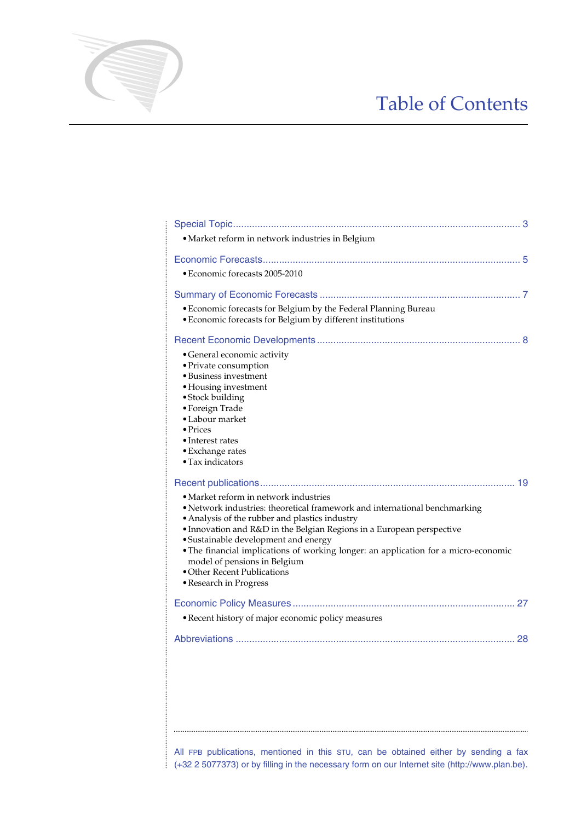# Table of Contents

| · Market reform in network industries in Belgium                                                                                                                                                                                                                                                                                                                                                                                                                       |
|------------------------------------------------------------------------------------------------------------------------------------------------------------------------------------------------------------------------------------------------------------------------------------------------------------------------------------------------------------------------------------------------------------------------------------------------------------------------|
| • Economic forecasts 2005-2010                                                                                                                                                                                                                                                                                                                                                                                                                                         |
| • Economic forecasts for Belgium by the Federal Planning Bureau<br>• Economic forecasts for Belgium by different institutions                                                                                                                                                                                                                                                                                                                                          |
| • General economic activity<br>• Private consumption<br>· Business investment<br>• Housing investment<br>• Stock building<br>• Foreign Trade<br>• Labour market<br>$\bullet$ Prices<br>• Interest rates<br>• Exchange rates<br>• Tax indicators                                                                                                                                                                                                                        |
| • Market reform in network industries<br>· Network industries: theoretical framework and international benchmarking<br>• Analysis of the rubber and plastics industry<br>• Innovation and R&D in the Belgian Regions in a European perspective<br>• Sustainable development and energy<br>• The financial implications of working longer: an application for a micro-economic<br>model of pensions in Belgium<br>• Other Recent Publications<br>• Research in Progress |
| · Recent history of major economic policy measures                                                                                                                                                                                                                                                                                                                                                                                                                     |
|                                                                                                                                                                                                                                                                                                                                                                                                                                                                        |
|                                                                                                                                                                                                                                                                                                                                                                                                                                                                        |

............................................................................................................................................................................................................................................................................................................

All FPB publications, mentioned in this STU, can be obtained either by sending a fax  $\frac{1}{2}$  (+32 2 5077373) or by filling in the necessary form on our Internet site (http://www.plan.be).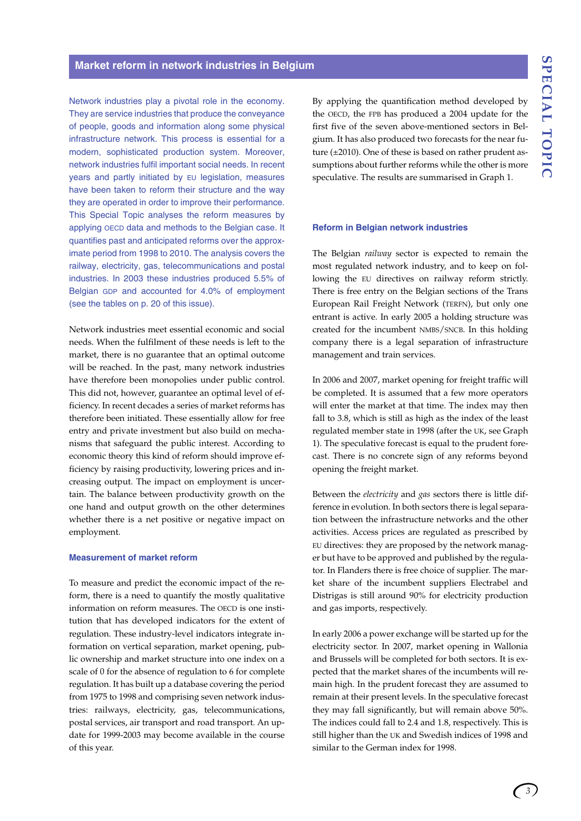Network industries play a pivotal role in the economy. They are service industries that produce the conveyance of people, goods and information along some physical infrastructure network. This process is essential for a modern, sophisticated production system. Moreover, network industries fulfil important social needs. In recent years and partly initiated by EU legislation, measures have been taken to reform their structure and the way they are operated in order to improve their performance. This Special Topic analyses the reform measures by applying OECD data and methods to the Belgian case. It quantifies past and anticipated reforms over the approximate period from 1998 to 2010. The analysis covers the railway, electricity, gas, telecommunications and postal industries. In 2003 these industries produced 5.5% of Belgian GDP and accounted for 4.0% of employment (see the tables on p. 20 of this issue).

Network industries meet essential economic and social needs. When the fulfilment of these needs is left to the market, there is no guarantee that an optimal outcome will be reached. In the past, many network industries have therefore been monopolies under public control. This did not, however, guarantee an optimal level of efficiency. In recent decades a series of market reforms has therefore been initiated. These essentially allow for free entry and private investment but also build on mechanisms that safeguard the public interest. According to economic theory this kind of reform should improve efficiency by raising productivity, lowering prices and increasing output. The impact on employment is uncertain. The balance between productivity growth on the one hand and output growth on the other determines whether there is a net positive or negative impact on employment.

#### **Measurement of market reform**

To measure and predict the economic impact of the reform, there is a need to quantify the mostly qualitative information on reform measures. The OECD is one institution that has developed indicators for the extent of regulation. These industry-level indicators integrate information on vertical separation, market opening, public ownership and market structure into one index on a scale of 0 for the absence of regulation to 6 for complete regulation. It has built up a database covering the period from 1975 to 1998 and comprising seven network industries: railways, electricity, gas, telecommunications, postal services, air transport and road transport. An update for 1999-2003 may become available in the course of this year.

By applying the quantification method developed by the OECD, the FPB has produced a 2004 update for the first five of the seven above-mentioned sectors in Belgium. It has also produced two forecasts for the near future (±2010). One of these is based on rather prudent assumptions about further reforms while the other is more speculative. The results are summarised in Graph 1.

#### **Reform in Belgian network industries**

The Belgian *railway* sector is expected to remain the most regulated network industry, and to keep on following the EU directives on railway reform strictly. There is free entry on the Belgian sections of the Trans European Rail Freight Network (TERFN), but only one entrant is active. In early 2005 a holding structure was created for the incumbent NMBS/SNCB. In this holding company there is a legal separation of infrastructure management and train services.

In 2006 and 2007, market opening for freight traffic will be completed. It is assumed that a few more operators will enter the market at that time. The index may then fall to 3.8, which is still as high as the index of the least regulated member state in 1998 (after the UK, see Graph 1). The speculative forecast is equal to the prudent forecast. There is no concrete sign of any reforms beyond opening the freight market.

Between the *electricity* and *gas* sectors there is little difference in evolution. In both sectors there is legal separation between the infrastructure networks and the other activities. Access prices are regulated as prescribed by EU directives: they are proposed by the network manager but have to be approved and published by the regulator. In Flanders there is free choice of supplier. The market share of the incumbent suppliers Electrabel and Distrigas is still around 90% for electricity production and gas imports, respectively.

In early 2006 a power exchange will be started up for the electricity sector. In 2007, market opening in Wallonia and Brussels will be completed for both sectors. It is expected that the market shares of the incumbents will remain high. In the prudent forecast they are assumed to remain at their present levels. In the speculative forecast they may fall significantly, but will remain above 50%. The indices could fall to 2.4 and 1.8, respectively. This is still higher than the UK and Swedish indices of 1998 and similar to the German index for 1998.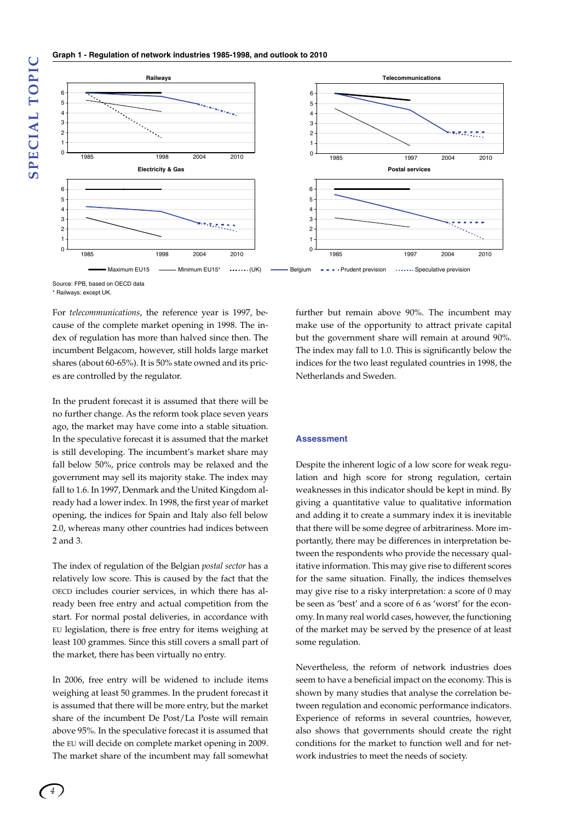

Source: FPB, based on OECD data \* Railways: except UK.

For *telecommunications*, the reference year is 1997, because of the complete market opening in 1998. The index of regulation has more than halved since then. The incumbent Belgacom, however, still holds large market shares (about 60-65%). It is 50% state owned and its prices are controlled by the regulator.

In the prudent forecast it is assumed that there will be no further change. As the reform took place seven years ago, the market may have come into a stable situation. In the speculative forecast it is assumed that the market is still developing. The incumbent's market share may fall below 50%, price controls may be relaxed and the government may sell its majority stake. The index may fall to 1.6. In 1997, Denmark and the United Kingdom already had a lower index. In 1998, the first year of market opening, the indices for Spain and Italy also fell below 2.0, whereas many other countries had indices between 2 and 3.

The index of regulation of the Belgian *postal sector* has a relatively low score. This is caused by the fact that the OECD includes courier services, in which there has already been free entry and actual competition from the start. For normal postal deliveries, in accordance with EU legislation, there is free entry for items weighing at least 100 grammes. Since this still covers a small part of the market, there has been virtually no entry.

In 2006, free entry will be widened to include items weighing at least 50 grammes. In the prudent forecast it is assumed that there will be more entry, but the market share of the incumbent De Post/La Poste will remain above 95%. In the speculative forecast it is assumed that the EU will decide on complete market opening in 2009. The market share of the incumbent may fall somewhat

further but remain above 90%. The incumbent may make use of the opportunity to attract private capital but the government share will remain at around 90%. The index may fall to 1.0. This is significantly below the indices for the two least regulated countries in 1998, the Netherlands and Sweden.

#### **Assessment**

Despite the inherent logic of a low score for weak regulation and high score for strong regulation, certain weaknesses in this indicator should be kept in mind. By giving a quantitative value to qualitative information and adding it to create a summary index it is inevitable that there will be some degree of arbitrariness. More importantly, there may be differences in interpretation between the respondents who provide the necessary qualitative information. This may give rise to different scores for the same situation. Finally, the indices themselves may give rise to a risky interpretation: a score of 0 may be seen as 'best' and a score of 6 as 'worst' for the economy. In many real world cases, however, the functioning of the market may be served by the presence of at least some regulation.

Nevertheless, the reform of network industries does seem to have a beneficial impact on the economy. This is shown by many studies that analyse the correlation between regulation and economic performance indicators. Experience of reforms in several countries, however, also shows that governments should create the right conditions for the market to function well and for network industries to meet the needs of society.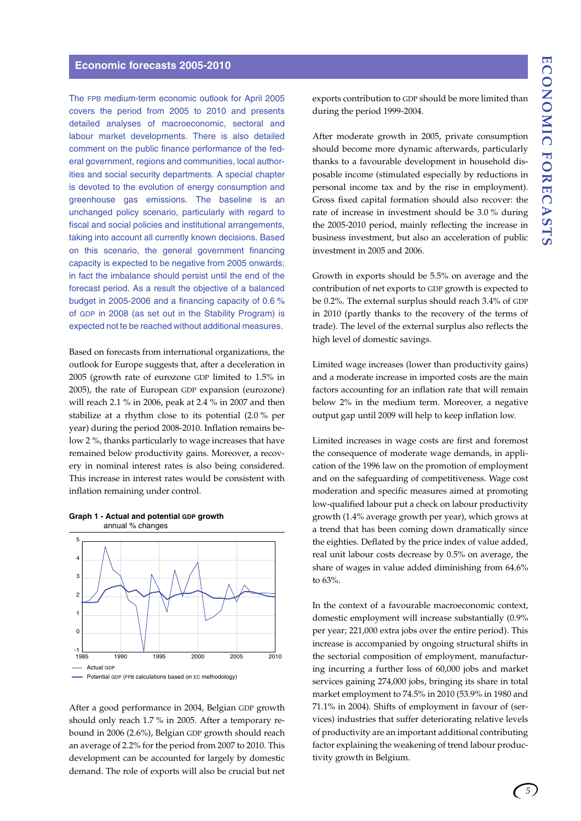### **Economic forecasts 2005-2010**

The FPB medium-term economic outlook for April 2005 covers the period from 2005 to 2010 and presents detailed analyses of macroeconomic, sectoral and labour market developments. There is also detailed comment on the public finance performance of the federal government, regions and communities, local authorities and social security departments. A special chapter is devoted to the evolution of energy consumption and greenhouse gas emissions. The baseline is an unchanged policy scenario, particularly with regard to fiscal and social policies and institutional arrangements, taking into account all currently known decisions. Based on this scenario, the general government financing capacity is expected to be negative from 2005 onwards; in fact the imbalance should persist until the end of the forecast period. As a result the objective of a balanced budget in 2005-2006 and a financing capacity of 0.6 % of GDP in 2008 (as set out in the Stability Program) is expected not te be reached without additional measures.

Based on forecasts from international organizations, the outlook for Europe suggests that, after a deceleration in 2005 (growth rate of eurozone GDP limited to 1.5% in 2005), the rate of European GDP expansion (eurozone) will reach 2.1 % in 2006, peak at 2.4 % in 2007 and then stabilize at a rhythm close to its potential (2.0 % per year) during the period 2008-2010. Inflation remains below 2 %, thanks particularly to wage increases that have remained below productivity gains. Moreover, a recovery in nominal interest rates is also being considered. This increase in interest rates would be consistent with inflation remaining under control.





After a good performance in 2004, Belgian GDP growth should only reach 1.7 % in 2005. After a temporary rebound in 2006 (2.6%), Belgian GDP growth should reach an average of 2.2% for the period from 2007 to 2010. This development can be accounted for largely by domestic demand. The role of exports will also be crucial but net exports contribution to GDP should be more limited than during the period 1999-2004.

After moderate growth in 2005, private consumption should become more dynamic afterwards, particularly thanks to a favourable development in household disposable income (stimulated especially by reductions in personal income tax and by the rise in employment). Gross fixed capital formation should also recover: the rate of increase in investment should be 3.0 % during the 2005-2010 period, mainly reflecting the increase in business investment, but also an acceleration of public investment in 2005 and 2006.

Growth in exports should be 5.5% on average and the contribution of net exports to GDP growth is expected to be 0.2%. The external surplus should reach 3.4% of GDP in 2010 (partly thanks to the recovery of the terms of trade). The level of the external surplus also reflects the high level of domestic savings.

Limited wage increases (lower than productivity gains) and a moderate increase in imported costs are the main factors accounting for an inflation rate that will remain below 2% in the medium term. Moreover, a negative output gap until 2009 will help to keep inflation low.

Limited increases in wage costs are first and foremost the consequence of moderate wage demands, in application of the 1996 law on the promotion of employment and on the safeguarding of competitiveness. Wage cost moderation and specific measures aimed at promoting low-qualified labour put a check on labour productivity growth (1.4% average growth per year), which grows at a trend that has been coming down dramatically since the eighties. Deflated by the price index of value added, real unit labour costs decrease by 0.5% on average, the share of wages in value added diminishing from 64.6% to 63%.

In the context of a favourable macroeconomic context, domestic employment will increase substantially (0.9% per year; 221,000 extra jobs over the entire period). This increase is accompanied by ongoing structural shifts in the sectorial composition of employment, manufacturing incurring a further loss of 60,000 jobs and market services gaining 274,000 jobs, bringing its share in total market employment to 74.5% in 2010 (53.9% in 1980 and 71.1% in 2004). Shifts of employment in favour of (services) industries that suffer deteriorating relative levels of productivity are an important additional contributing factor explaining the weakening of trend labour productivity growth in Belgium.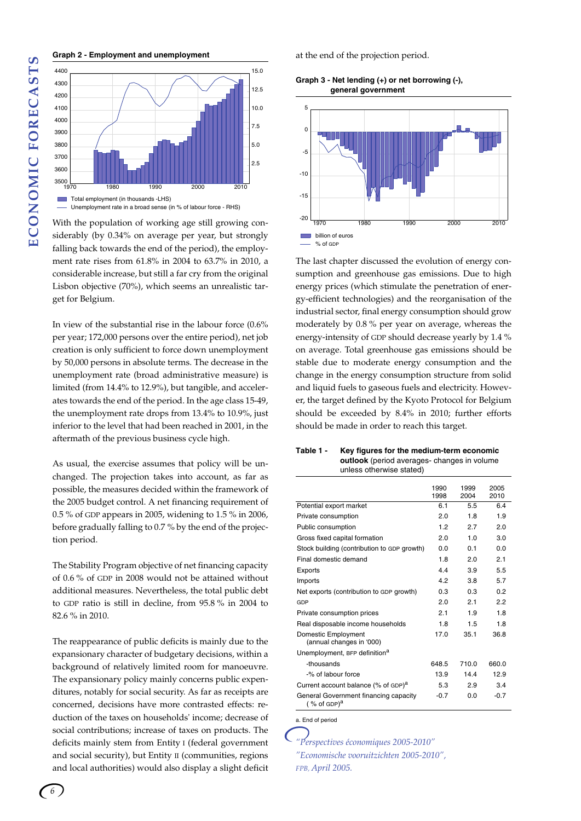#### **Graph 2 - Employment and unemployment**



With the population of working age still growing considerably (by 0.34% on average per year, but strongly falling back towards the end of the period), the employment rate rises from 61.8% in 2004 to 63.7% in 2010, a considerable increase, but still a far cry from the original Lisbon objective (70%), which seems an unrealistic target for Belgium.

In view of the substantial rise in the labour force (0.6% per year; 172,000 persons over the entire period), net job creation is only sufficient to force down unemployment by 50,000 persons in absolute terms. The decrease in the unemployment rate (broad administrative measure) is limited (from 14.4% to 12.9%), but tangible, and accelerates towards the end of the period. In the age class 15-49, the unemployment rate drops from 13.4% to 10.9%, just inferior to the level that had been reached in 2001, in the aftermath of the previous business cycle high.

As usual, the exercise assumes that policy will be unchanged. The projection takes into account, as far as possible, the measures decided within the framework of the 2005 budget control. A net financing requirement of 0.5 % of GDP appears in 2005, widening to 1.5 % in 2006, before gradually falling to 0.7 % by the end of the projection period.

The Stability Program objective of net financing capacity of 0.6 % of GDP in 2008 would not be attained without additional measures. Nevertheless, the total public debt to GDP ratio is still in decline, from 95.8 % in 2004 to 82.6 % in 2010.

The reappearance of public deficits is mainly due to the expansionary character of budgetary decisions, within a background of relatively limited room for manoeuvre. The expansionary policy mainly concerns public expenditures, notably for social security. As far as receipts are concerned, decisions have more contrasted effects: reduction of the taxes on households' income; decrease of social contributions; increase of taxes on products. The deficits mainly stem from Entity I (federal government and social security), but Entity II (communities, regions and local authorities) would also display a slight deficit

at the end of the projection period.

**Graph 3 - Net lending (+) or net borrowing (-), general government**



The last chapter discussed the evolution of energy consumption and greenhouse gas emissions. Due to high energy prices (which stimulate the penetration of energy-efficient technologies) and the reorganisation of the industrial sector, final energy consumption should grow moderately by 0.8 % per year on average, whereas the energy-intensity of GDP should decrease yearly by 1.4 % on average. Total greenhouse gas emissions should be stable due to moderate energy consumption and the change in the energy consumption structure from solid and liquid fuels to gaseous fuels and electricity. However, the target defined by the Kyoto Protocol for Belgium should be exceeded by 8.4% in 2010; further efforts should be made in order to reach this target.

| Table 1 - | Key figures for the medium-term economic          |
|-----------|---------------------------------------------------|
|           | <b>outlook</b> (period averages-changes in volume |
|           | unless otherwise stated)                          |

|                                                                  | 1990<br>1998 | 1999<br>2004 | 2005<br>2010 |
|------------------------------------------------------------------|--------------|--------------|--------------|
| Potential export market                                          | 61           | 55           | 64           |
| Private consumption                                              | 2.0          | 18           | 19           |
| Public consumption                                               | 12           | 27           | 20           |
| Gross fixed capital formation                                    | 2.0          | 1 0          | 3.0          |
| Stock building (contribution to GDP growth)                      | 00           | 0 1          | 0 O          |
| Final domestic demand                                            | 1.8          | 20           | 21           |
| Exports                                                          | 44           | 3.9          | 5.5          |
| Imports                                                          | 42           | 3.8          | 5.7          |
| Net exports (contribution to GDP growth)                         | 0 3          | 0.3          | 02           |
| GDP                                                              | 20           | 21           | 22           |
| Private consumption prices                                       | 21           | 19           | 18           |
| Real disposable income households                                | 18           | 15           | 18           |
| Domestic Employment<br>(annual changes in '000)                  | 17.0         | 35.1         | 36.8         |
| Unemployment, BFP definition <sup>a</sup>                        |              |              |              |
| -thousands                                                       | 648.5        | 7100         | 660.0        |
| -% of labour force                                               | 13.9         | 144          | 12.9         |
| Current account balance (% of GDP) <sup>a</sup>                  | 5.3          | 2.9          | 3.4          |
| General Government financing capacity<br>(% of GDP) <sup>a</sup> | $-0.7$       | 0.0          | $-0.7$       |

a. End of period

*"Perspectives économiques 2005-2010" "Economische vooruitzichten 2005-2010", FPB, April 2005.*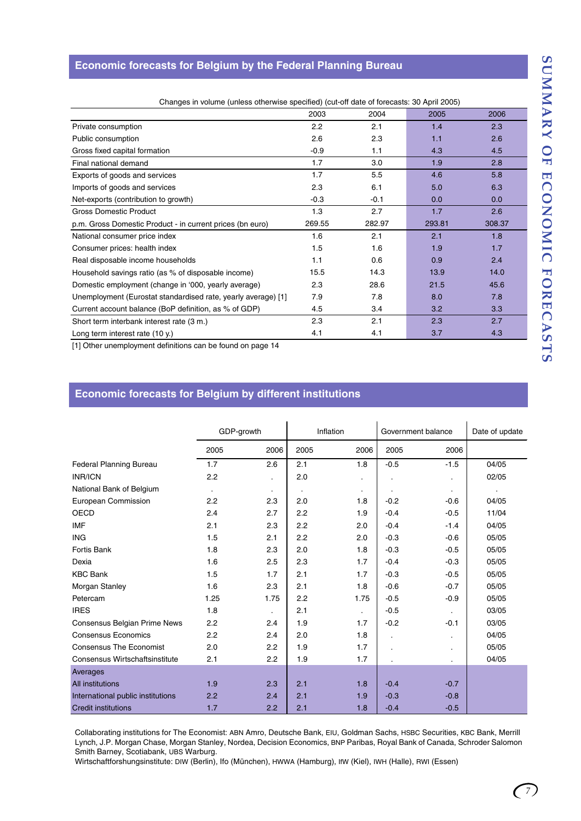## **Economic forecasts for Belgium by the Federal Planning Bureau**

| Changes in volume (unless otherwise specified) (cut-off date of forecasts: 30 April 2005) |        |        |        |        |
|-------------------------------------------------------------------------------------------|--------|--------|--------|--------|
|                                                                                           | 2003   | 2004   | 2005   | 2006   |
| Private consumption                                                                       | 2.2    | 2.1    | 1.4    | 2.3    |
| Public consumption                                                                        | 2.6    | 2.3    | 1.1    | 2.6    |
| Gross fixed capital formation                                                             | $-0.9$ | 1.1    | 4.3    | 4.5    |
| Final national demand                                                                     | 1.7    | 3.0    | 1.9    | 2.8    |
| Exports of goods and services                                                             | 1.7    | 5.5    | 4.6    | 5.8    |
| Imports of goods and services                                                             | 2.3    | 6.1    | 5.0    | 6.3    |
| Net-exports (contribution to growth)                                                      | $-0.3$ | $-0.1$ | 0.0    | 0.0    |
| Gross Domestic Product                                                                    | 1.3    | 2.7    | 1.7    | 2.6    |
| p.m. Gross Domestic Product - in current prices (bn euro)                                 | 269.55 | 282.97 | 293.81 | 308.37 |
| National consumer price index                                                             | 1.6    | 2.1    | 2.1    | 1.8    |
| Consumer prices: health index                                                             | 1.5    | 1.6    | 1.9    | 1.7    |
| Real disposable income households                                                         | 1.1    | 0.6    | 0.9    | 2.4    |
| Household savings ratio (as % of disposable income)                                       | 15.5   | 14.3   | 13.9   | 14.0   |
| Domestic employment (change in '000, yearly average)                                      | 2.3    | 28.6   | 21.5   | 45.6   |
| Unemployment (Eurostat standardised rate, yearly average) [1]                             | 7.9    | 7.8    | 8.0    | 7.8    |
| Current account balance (BoP definition, as % of GDP)                                     | 4.5    | 3.4    | 3.2    | 3.3    |
| Short term interbank interest rate (3 m.)                                                 | 2.3    | 2.1    | 2.3    | 2.7    |
| Long term interest rate (10 y.)                                                           | 4.1    | 4.1    | 3.7    | 4.3    |

[1] Other unemployment definitions can be found on page 14

## **Economic forecasts for Belgium by different institutions**

|                                       | GDP-growth |           |      | Inflation      |           | Government balance | Date of update |  |  |
|---------------------------------------|------------|-----------|------|----------------|-----------|--------------------|----------------|--|--|
|                                       | 2005       | 2006      | 2005 | 2006           | 2005      | 2006               |                |  |  |
| <b>Federal Planning Bureau</b>        | 1.7        | 2.6       | 2.1  | 1.8            | $-0.5$    | $-1.5$             | 04/05          |  |  |
| <b>INR/ICN</b>                        | 2.2        |           | 2.0  |                |           | $\cdot$            | 02/05          |  |  |
| National Bank of Belgium              | $\bullet$  | $\bullet$ | ٠    | $\bullet$      | $\bullet$ | $\bullet$          |                |  |  |
| European Commission                   | 2.2        | 2.3       | 2.0  | 1.8            | $-0.2$    | $-0.6$             | 04/05          |  |  |
| <b>OECD</b>                           | 2.4        | 2.7       | 2.2  | 1.9            | $-0.4$    | $-0.5$             | 11/04          |  |  |
| <b>IMF</b>                            | 2.1        | 2.3       | 2.2  | 2.0            | $-0.4$    | $-1.4$             | 04/05          |  |  |
| <b>ING</b>                            | 1.5        | 2.1       | 2.2  | 2.0            | $-0.3$    | $-0.6$             | 05/05          |  |  |
| <b>Fortis Bank</b>                    | 1.8        | 2.3       | 2.0  | 1.8            | $-0.3$    | $-0.5$             | 05/05          |  |  |
| Dexia                                 | 1.6        | 2.5       | 2.3  | 1.7            | $-0.4$    | $-0.3$             | 05/05          |  |  |
| <b>KBC Bank</b>                       | 1.5        | 1.7       | 2.1  | 1.7            | $-0.3$    | $-0.5$             | 05/05          |  |  |
| Morgan Stanley                        | 1.6        | 2.3       | 2.1  | 1.8            | $-0.6$    | $-0.7$             | 05/05          |  |  |
| Petercam                              | 1.25       | 1.75      | 2.2  | 1.75           | $-0.5$    | $-0.9$             | 05/05          |  |  |
| <b>IRES</b>                           | 1.8        |           | 2.1  | $\blacksquare$ | $-0.5$    |                    | 03/05          |  |  |
| Consensus Belgian Prime News          | 2.2        | 2.4       | 1.9  | 1.7            | $-0.2$    | $-0.1$             | 03/05          |  |  |
| <b>Consensus Economics</b>            | 2.2        | 2.4       | 2.0  | 1.8            | $\cdot$   | $\cdot$            | 04/05          |  |  |
| <b>Consensus The Economist</b>        | 2.0        | 2.2       | 1.9  | 1.7            |           | $\cdot$            | 05/05          |  |  |
| <b>Consensus Wirtschaftsinstitute</b> | 2.1        | 2.2       | 1.9  | 1.7            |           | $\cdot$            | 04/05          |  |  |
| Averages                              |            |           |      |                |           |                    |                |  |  |
| All institutions                      | 1.9        | 2.3       | 2.1  | 1.8            | $-0.4$    | $-0.7$             |                |  |  |
| International public institutions     | 2.2        | 2.4       | 2.1  | 1.9            | $-0.3$    | $-0.8$             |                |  |  |
| <b>Credit institutions</b>            | 1.7        | 2.2       | 2.1  | 1.8            | $-0.4$    | $-0.5$             |                |  |  |

Collaborating institutions for The Economist: ABN Amro, Deutsche Bank, EIU, Goldman Sachs, HSBC Securities, KBC Bank, Merrill Lynch, J.P. Morgan Chase, Morgan Stanley, Nordea, Decision Economics, BNP Paribas, Royal Bank of Canada, Schroder Salomon Smith Barney, Scotiabank, UBS Warburg.

Wirtschaftforshungsinstitute: DIW (Berlin), Ifo (München), HWWA (Hamburg), IfW (Kiel), IWH (Halle), RWI (Essen)

*7*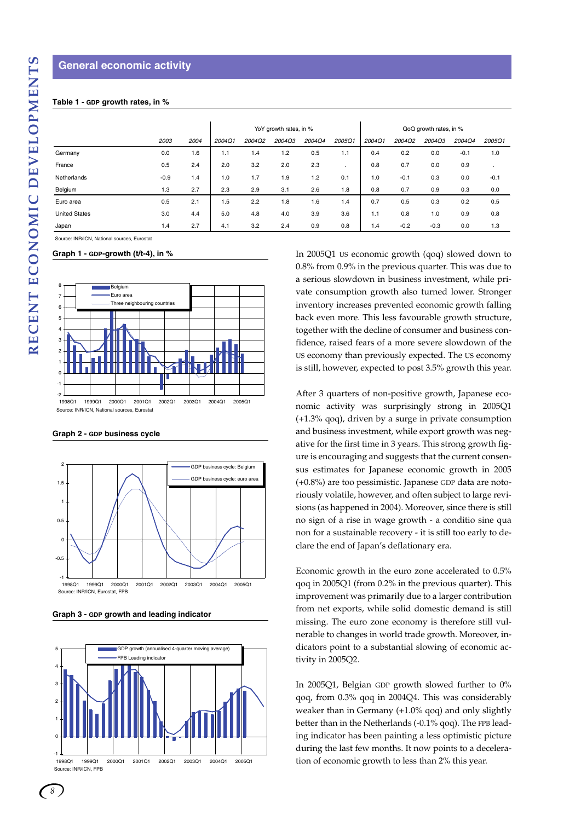#### **General economic activity**

#### **Table 1 - GDP growth rates, in %**

|                      |        |      |        |        | YoY growth rates, in % |        | QoQ growth rates, in % |        |        |        |        |         |
|----------------------|--------|------|--------|--------|------------------------|--------|------------------------|--------|--------|--------|--------|---------|
|                      | 2003   | 2004 | 2004Q1 | 2004Q2 | 2004Q3                 | 2004Q4 | 2005Q1                 | 2004Q1 | 2004Q2 | 2004Q3 | 2004Q4 | 2005Q1  |
| Germany              | 0.0    | 1.6  | 1.1    | 1.4    | 1.2                    | 0.5    | 1.1                    | 0.4    | 0.2    | 0.0    | $-0.1$ | 1.0     |
| France               | 0.5    | 2.4  | 2.0    | 3.2    | 2.0                    | 2.3    |                        | 0.8    | 0.7    | 0.0    | 0.9    | $\cdot$ |
| Netherlands          | $-0.9$ | 1.4  | 1.0    | 1.7    | 1.9                    | 1.2    | 0.1                    | 1.0    | $-0.1$ | 0.3    | 0.0    | $-0.1$  |
| Belgium              | 1.3    | 2.7  | 2.3    | 2.9    | 3.1                    | 2.6    | 1.8                    | 0.8    | 0.7    | 0.9    | 0.3    | 0.0     |
| Euro area            | 0.5    | 2.1  | 1.5    | 2.2    | 1.8                    | 1.6    | 1.4                    | 0.7    | 0.5    | 0.3    | 0.2    | 0.5     |
| <b>United States</b> | 3.0    | 4.4  | 5.0    | 4.8    | 4.0                    | 3.9    | 3.6                    | 1.1    | 0.8    | 1.0    | 0.9    | 0.8     |
| Japan                | 1.4    | 2.7  | 4.1    | 3.2    | 2.4                    | 0.9    | 0.8                    | 1.4    | $-0.2$ | $-0.3$ | 0.0    | 1.3     |

Source: INR/ICN, National sources, Eurostat

#### **Graph 1 - GDP-growth (t/t-4), in %**



**Graph 2 - GDP business cycle** 



**Graph 3 - GDP growth and leading indicator**



In 2005Q1 US economic growth (qoq) slowed down to 0.8% from 0.9% in the previous quarter. This was due to a serious slowdown in business investment, while private consumption growth also turned lower. Stronger inventory increases prevented economic growth falling back even more. This less favourable growth structure, together with the decline of consumer and business confidence, raised fears of a more severe slowdown of the US economy than previously expected. The US economy is still, however, expected to post 3.5% growth this year.

After 3 quarters of non-positive growth, Japanese economic activity was surprisingly strong in 2005Q1 (+1.3% qoq), driven by a surge in private consumption and business investment, while export growth was negative for the first time in 3 years. This strong growth figure is encouraging and suggests that the current consensus estimates for Japanese economic growth in 2005 (+0.8%) are too pessimistic. Japanese GDP data are notoriously volatile, however, and often subject to large revisions (as happened in 2004). Moreover, since there is still no sign of a rise in wage growth - a conditio sine qua non for a sustainable recovery - it is still too early to declare the end of Japan's deflationary era.

Economic growth in the euro zone accelerated to 0.5% qoq in 2005Q1 (from 0.2% in the previous quarter). This improvement was primarily due to a larger contribution from net exports, while solid domestic demand is still missing. The euro zone economy is therefore still vulnerable to changes in world trade growth. Moreover, indicators point to a substantial slowing of economic activity in 2005Q2.

In 2005Q1, Belgian GDP growth slowed further to 0% qoq, from 0.3% qoq in 2004Q4. This was considerably weaker than in Germany (+1.0% qoq) and only slightly better than in the Netherlands (-0.1% qoq). The FPB leading indicator has been painting a less optimistic picture during the last few months. It now points to a deceleration of economic growth to less than 2% this year.

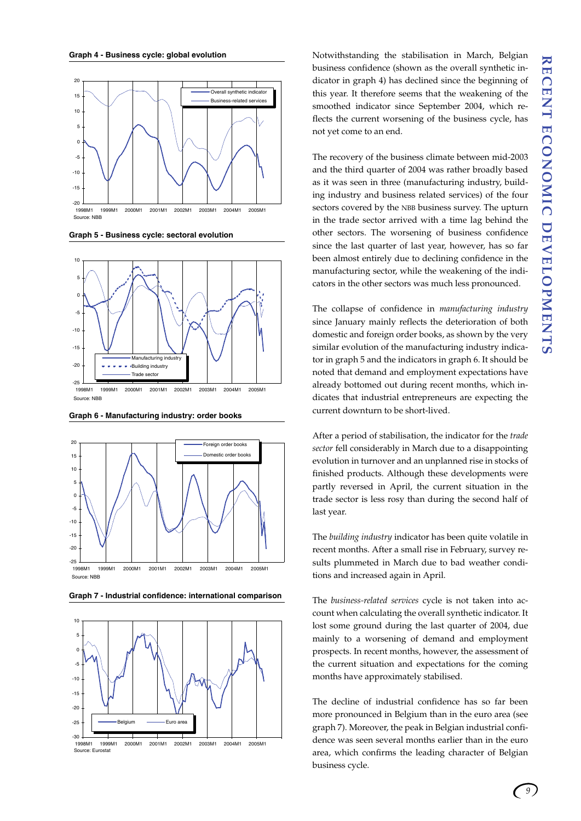

**Graph 5 - Business cycle: sectoral evolution**



**Graph 6 - Manufacturing industry: order books**





**Graph 7 - Industrial confidence: international comparison**

Notwithstanding the stabilisation in March, Belgian business confidence (shown as the overall synthetic indicator in graph 4) has declined since the beginning of this year. It therefore seems that the weakening of the smoothed indicator since September 2004, which reflects the current worsening of the business cycle, has not yet come to an end.

The recovery of the business climate between mid-2003 and the third quarter of 2004 was rather broadly based as it was seen in three (manufacturing industry, building industry and business related services) of the four sectors covered by the NBB business survey. The upturn in the trade sector arrived with a time lag behind the other sectors. The worsening of business confidence since the last quarter of last year, however, has so far been almost entirely due to declining confidence in the manufacturing sector, while the weakening of the indicators in the other sectors was much less pronounced.

The collapse of confidence in *manufacturing industry* since January mainly reflects the deterioration of both domestic and foreign order books, as shown by the very similar evolution of the manufacturing industry indicator in graph 5 and the indicators in graph 6. It should be noted that demand and employment expectations have already bottomed out during recent months, which indicates that industrial entrepreneurs are expecting the current downturn to be short-lived.

After a period of stabilisation, the indicator for the *trade sector* fell considerably in March due to a disappointing evolution in turnover and an unplanned rise in stocks of finished products. Although these developments were partly reversed in April, the current situation in the trade sector is less rosy than during the second half of last year.

The *building industry* indicator has been quite volatile in recent months. After a small rise in February, survey results plummeted in March due to bad weather conditions and increased again in April.

The *business-related services* cycle is not taken into account when calculating the overall synthetic indicator. It lost some ground during the last quarter of 2004, due mainly to a worsening of demand and employment prospects. In recent months, however, the assessment of the current situation and expectations for the coming months have approximately stabilised.

The decline of industrial confidence has so far been more pronounced in Belgium than in the euro area (see graph 7). Moreover, the peak in Belgian industrial confidence was seen several months earlier than in the euro area, which confirms the leading character of Belgian business cycle.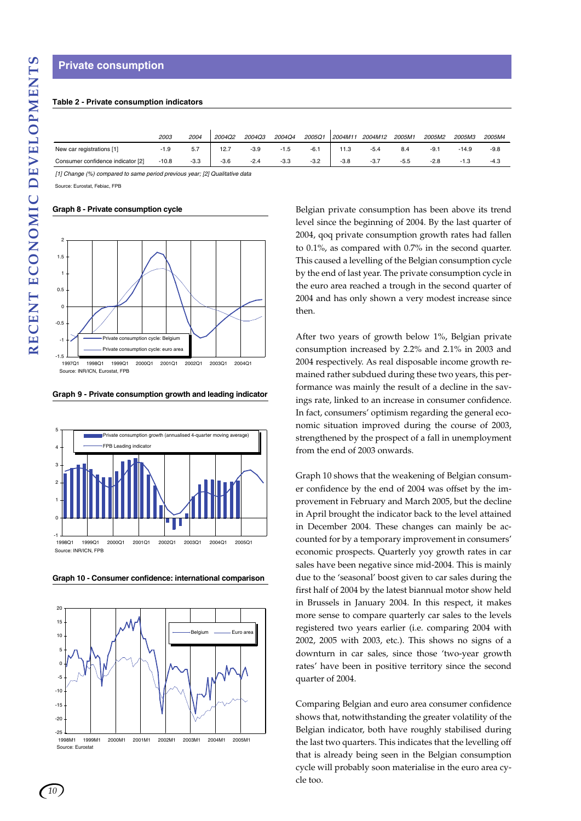#### **Table 2 - Private consumption indicators**

|                                   | 2003    | 2004   | 2004Q2 | 2004Q3 | 2004Q4 | 2005Q1 | 2004M11 | 2004M12 | 2005M1 | 2005M2 | 2005M3 | 2005M4 |
|-----------------------------------|---------|--------|--------|--------|--------|--------|---------|---------|--------|--------|--------|--------|
| New car registrations [1]         | -1.9    | 5.7    | 12.7   | $-3.9$ | $-1.5$ | $-6.1$ | 11.3    | $-5.4$  | 8.4    | -9.1   | -14.9  | $-9.8$ |
| Consumer confidence indicator [2] | $-10.8$ | $-3.3$ | $-3.6$ | $-2.4$ | $-3.3$ | $-3.2$ | $-3.8$  | $-3.7$  | $-5.5$ | $-2.8$ | $-1.3$ | $-4.3$ |

*[1] Change (%) compared to same period previous year; [2] Qualitative data*

Source: Eurostat, Febiac, FPB

#### **Graph 8 - Private consumption cycle**



**Graph 9 - Private consumption growth and leading indicator**



**Graph 10 - Consumer confidence: international comparison**



Belgian private consumption has been above its trend level since the beginning of 2004. By the last quarter of 2004, qoq private consumption growth rates had fallen to 0.1%, as compared with 0.7% in the second quarter. This caused a levelling of the Belgian consumption cycle by the end of last year. The private consumption cycle in the euro area reached a trough in the second quarter of 2004 and has only shown a very modest increase since then.

After two years of growth below 1%, Belgian private consumption increased by 2.2% and 2.1% in 2003 and 2004 respectively. As real disposable income growth remained rather subdued during these two years, this performance was mainly the result of a decline in the savings rate, linked to an increase in consumer confidence. In fact, consumers' optimism regarding the general economic situation improved during the course of 2003, strengthened by the prospect of a fall in unemployment from the end of 2003 onwards.

Graph 10 shows that the weakening of Belgian consumer confidence by the end of 2004 was offset by the improvement in February and March 2005, but the decline in April brought the indicator back to the level attained in December 2004. These changes can mainly be accounted for by a temporary improvement in consumers' economic prospects. Quarterly yoy growth rates in car sales have been negative since mid-2004. This is mainly due to the 'seasonal' boost given to car sales during the first half of 2004 by the latest biannual motor show held in Brussels in January 2004. In this respect, it makes more sense to compare quarterly car sales to the levels registered two years earlier (i.e. comparing 2004 with 2002, 2005 with 2003, etc.). This shows no signs of a downturn in car sales, since those 'two-year growth rates' have been in positive territory since the second quarter of 2004.

Comparing Belgian and euro area consumer confidence shows that, notwithstanding the greater volatility of the Belgian indicator, both have roughly stabilised during the last two quarters. This indicates that the levelling off that is already being seen in the Belgian consumption cycle will probably soon materialise in the euro area cycle too.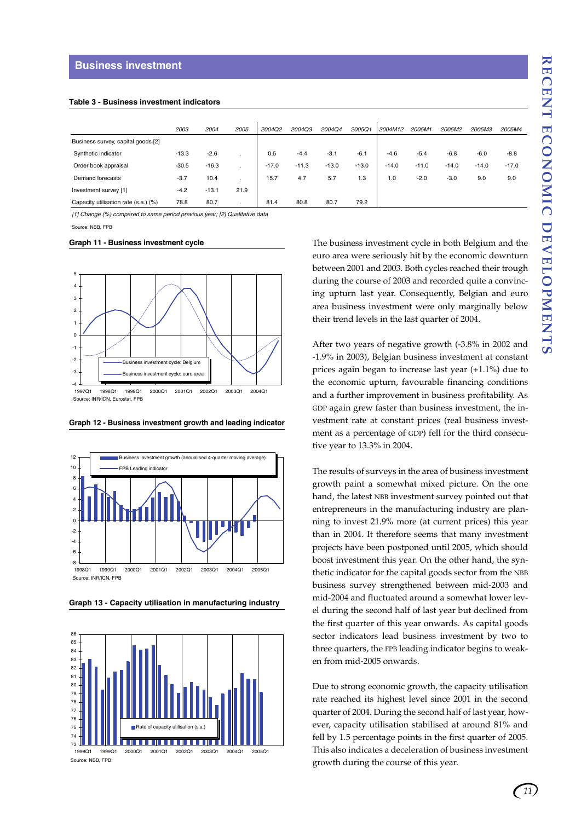#### **Table 3 - Business investment indicators**

|                                      | 2003    | 2004    | 2005 | 2004Q2  | 2004Q3  | 2004Q4  | 2005Q1  | 2004M12 | 2005M1  | 2005M2  | 2005M3  | 2005M4  |
|--------------------------------------|---------|---------|------|---------|---------|---------|---------|---------|---------|---------|---------|---------|
| Business survey, capital goods [2]   |         |         |      |         |         |         |         |         |         |         |         |         |
| Synthetic indicator                  | $-13.3$ | $-2.6$  |      | 0.5     | $-4.4$  | $-3.1$  | $-6.1$  | $-4.6$  | $-5.4$  | $-6.8$  | $-6.0$  | $-8.8$  |
| Order book appraisal                 | $-30.5$ | $-16.3$ |      | $-17.0$ | $-11.3$ | $-13.0$ | $-13.0$ | $-14.0$ | $-11.0$ | $-14.0$ | $-14.0$ | $-17.0$ |
| Demand forecasts                     | $-3.7$  | 10.4    |      | 15.7    | 4.7     | 5.7     | 1.3     | 1.0     | $-2.0$  | $-3.0$  | 9.0     | 9.0     |
| Investment survey [1]                | $-4.2$  | $-13.1$ | 21.9 |         |         |         |         |         |         |         |         |         |
| Capacity utilisation rate (s.a.) (%) | 78.8    | 80.7    |      | 81.4    | 80.8    | 80.7    | 79.2    |         |         |         |         |         |

*[1] Change (%) compared to same period previous year; [2] Qualitative data*

Source: NBB, FPB

#### **Graph 11 - Business investment cycle**



**Graph 12 - Business investment growth and leading indicator**



**Graph 13 - Capacity utilisation in manufacturing industry**



Source: NBB, FPB

The business investment cycle in both Belgium and the euro area were seriously hit by the economic downturn between 2001 and 2003. Both cycles reached their trough during the course of 2003 and recorded quite a convincing upturn last year. Consequently, Belgian and euro area business investment were only marginally below their trend levels in the last quarter of 2004.

After two years of negative growth (-3.8% in 2002 and -1.9% in 2003), Belgian business investment at constant prices again began to increase last year (+1.1%) due to the economic upturn, favourable financing conditions and a further improvement in business profitability. As GDP again grew faster than business investment, the investment rate at constant prices (real business investment as a percentage of GDP) fell for the third consecutive year to 13.3% in 2004.

The results of surveys in the area of business investment growth paint a somewhat mixed picture. On the one hand, the latest NBB investment survey pointed out that entrepreneurs in the manufacturing industry are planning to invest 21.9% more (at current prices) this year than in 2004. It therefore seems that many investment projects have been postponed until 2005, which should boost investment this year. On the other hand, the synthetic indicator for the capital goods sector from the NBB business survey strengthened between mid-2003 and mid-2004 and fluctuated around a somewhat lower level during the second half of last year but declined from the first quarter of this year onwards. As capital goods sector indicators lead business investment by two to three quarters, the FPB leading indicator begins to weaken from mid-2005 onwards.

Due to strong economic growth, the capacity utilisation rate reached its highest level since 2001 in the second quarter of 2004. During the second half of last year, however, capacity utilisation stabilised at around 81% and fell by 1.5 percentage points in the first quarter of 2005. This also indicates a deceleration of business investment growth during the course of this year.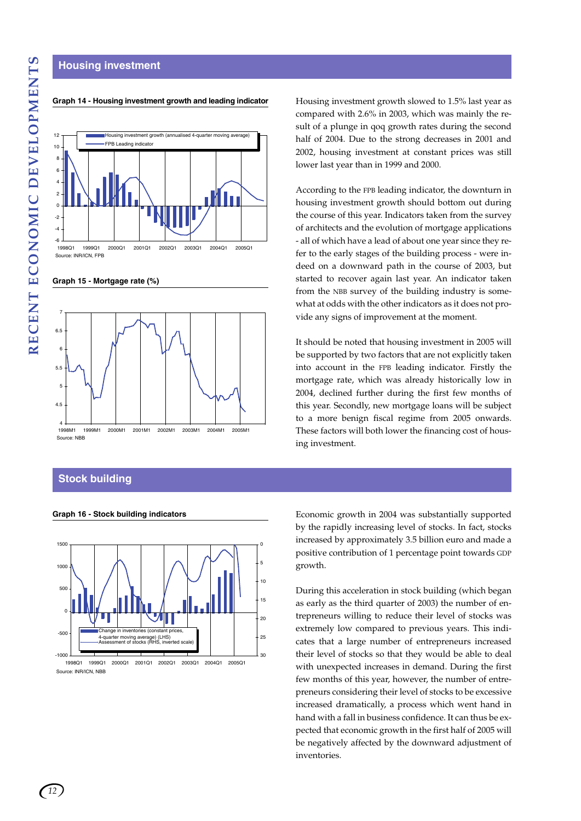#### **Housing investment**



#### **Graph 14 - Housing investment growth and leading indicator**

**Graph 15 - Mortgage rate (%)**



### **Stock building**



Housing investment growth slowed to 1.5% last year as compared with 2.6% in 2003, which was mainly the result of a plunge in qoq growth rates during the second half of 2004. Due to the strong decreases in 2001 and 2002, housing investment at constant prices was still lower last year than in 1999 and 2000.

According to the FPB leading indicator, the downturn in housing investment growth should bottom out during the course of this year. Indicators taken from the survey of architects and the evolution of mortgage applications - all of which have a lead of about one year since they refer to the early stages of the building process - were indeed on a downward path in the course of 2003, but started to recover again last year. An indicator taken from the NBB survey of the building industry is somewhat at odds with the other indicators as it does not provide any signs of improvement at the moment.

It should be noted that housing investment in 2005 will be supported by two factors that are not explicitly taken into account in the FPB leading indicator. Firstly the mortgage rate, which was already historically low in 2004, declined further during the first few months of this year. Secondly, new mortgage loans will be subject to a more benign fiscal regime from 2005 onwards. These factors will both lower the financing cost of housing investment.

**Graph 16 - Stock building indicators** Economic growth in 2004 was substantially supported by the rapidly increasing level of stocks. In fact, stocks increased by approximately 3.5 billion euro and made a positive contribution of 1 percentage point towards GDP growth.

> During this acceleration in stock building (which began as early as the third quarter of 2003) the number of entrepreneurs willing to reduce their level of stocks was extremely low compared to previous years. This indicates that a large number of entrepreneurs increased their level of stocks so that they would be able to deal with unexpected increases in demand. During the first few months of this year, however, the number of entrepreneurs considering their level of stocks to be excessive increased dramatically, a process which went hand in hand with a fall in business confidence. It can thus be expected that economic growth in the first half of 2005 will be negatively affected by the downward adjustment of inventories.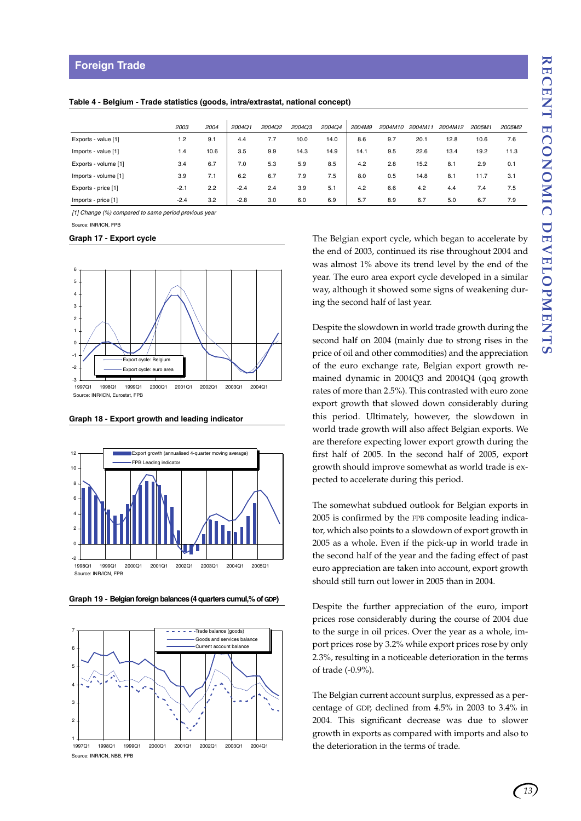### **Foreign Trade**

|                      | 2003   | 2004 | 2004Q1 | <b>2004Q2</b> | <b>2004Q3</b> | 2004Q4 | 2004M9 | 2004M10 | 2004M11 | 2004M12 | 2005M1 | 2005M2 |
|----------------------|--------|------|--------|---------------|---------------|--------|--------|---------|---------|---------|--------|--------|
| Exports - value [1]  | 1.2    | 9.1  | 4.4    | 7.7           | 10.0          | 14.0   | 8.6    | 9.7     | 20.1    | 12.8    | 10.6   | 7.6    |
| Imports - value [1]  | 1.4    | 10.6 | 3.5    | 9.9           | 14.3          | 14.9   | 14.1   | 9.5     | 22.6    | 13.4    | 19.2   | 11.3   |
| Exports - volume [1] | 3.4    | 6.7  | 7.0    | 5.3           | 5.9           | 8.5    | 4.2    | 2.8     | 15.2    | 8.1     | 2.9    | 0.1    |
| Imports - volume [1] | 3.9    | 7.1  | 6.2    | 6.7           | 7.9           | 7.5    | 8.0    | 0.5     | 14.8    | 8.1     | 11.7   | 3.1    |
| Exports - price [1]  | $-2.1$ | 2.2  | $-2.4$ | 2.4           | 3.9           | 5.1    | 4.2    | 6.6     | 4.2     | 4.4     | 7.4    | 7.5    |
| Imports - price [1]  | $-2.4$ | 3.2  | $-2.8$ | 3.0           | 6.0           | 6.9    | 5.7    | 8.9     | 6.7     | 5.0     | 6.7    | 7.9    |

*[1] Change (%) compared to same period previous year*

Source: INR/ICN, FPB

#### **Graph 17 - Export cycle**



**Graph 18 - Export growth and leading indicator**



**Graph 19 - Belgian foreign balances (4 quarters cumul,% of GDP)**



Source: INR/ICN, NBB, FPB

The Belgian export cycle, which began to accelerate by the end of 2003, continued its rise throughout 2004 and was almost 1% above its trend level by the end of the year. The euro area export cycle developed in a similar way, although it showed some signs of weakening during the second half of last year.

Despite the slowdown in world trade growth during the second half on 2004 (mainly due to strong rises in the price of oil and other commodities) and the appreciation of the euro exchange rate, Belgian export growth remained dynamic in 2004Q3 and 2004Q4 (qoq growth rates of more than 2.5%). This contrasted with euro zone export growth that slowed down considerably during this period. Ultimately, however, the slowdown in world trade growth will also affect Belgian exports. We are therefore expecting lower export growth during the first half of 2005. In the second half of 2005, export growth should improve somewhat as world trade is expected to accelerate during this period.

The somewhat subdued outlook for Belgian exports in 2005 is confirmed by the FPB composite leading indicator, which also points to a slowdown of export growth in 2005 as a whole. Even if the pick-up in world trade in the second half of the year and the fading effect of past euro appreciation are taken into account, export growth should still turn out lower in 2005 than in 2004.

Despite the further appreciation of the euro, import prices rose considerably during the course of 2004 due to the surge in oil prices. Over the year as a whole, import prices rose by 3.2% while export prices rose by only 2.3%, resulting in a noticeable deterioration in the terms of trade (-0.9%).

The Belgian current account surplus, expressed as a percentage of GDP, declined from 4.5% in 2003 to 3.4% in 2004. This significant decrease was due to slower growth in exports as compared with imports and also to the deterioration in the terms of trade.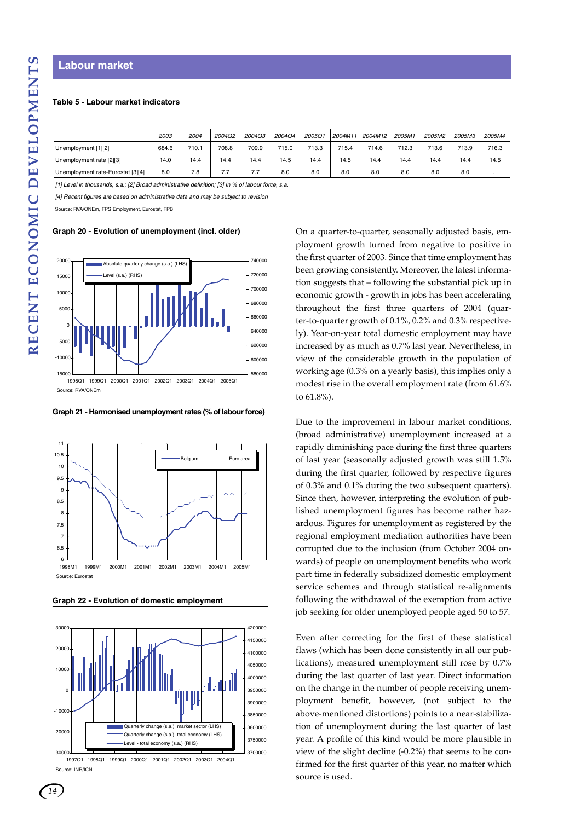## **Table 5 - Labour market indicators**

|                                                                                             | 713.6<br>712.3 |                |  |
|---------------------------------------------------------------------------------------------|----------------|----------------|--|
| 708.8<br>Unemployment [1][2]<br>710.1<br>709.9<br>713.3<br>684.6<br>715.0<br>715.4<br>714.6 |                | 716.3<br>713.9 |  |
| 14.5<br>Unemployment rate [2][3]<br>14.4<br>14.4<br>14.4<br>14.4<br>14.5<br>14.4<br>14.0    | 14.4<br>14.4   | 14.5<br>14.4   |  |
| Unemployment rate-Eurostat [3][4]<br>8.0<br>8.0<br>7.8<br>8.0<br>8.0<br>7.7<br>8.0          | 8.0<br>8.0     | 8.0            |  |

*[1] Level in thousands, s.a.; [2] Broad administrative definition; [3] In % of labour force, s.a.*

*[4] Recent figures are based on administrative data and may be subject to revision*

Source: RVA/ONEm, FPS Employment, Eurostat, FPB

#### **Graph 20 - Evolution of unemployment (incl. older)**



**Graph 21 - Harmonised unemployment rates (% of labour force)**



**Graph 22 - Evolution of domestic employment**



Source: INR/ICN 1997Q1 1998Q1 1999Q1 2000Q1 2001Q1 2002Q1 2003Q1 2004Q1 On a quarter-to-quarter, seasonally adjusted basis, employment growth turned from negative to positive in the first quarter of 2003. Since that time employment has been growing consistently. Moreover, the latest information suggests that – following the substantial pick up in economic growth - growth in jobs has been accelerating throughout the first three quarters of 2004 (quarter-to-quarter growth of 0.1%, 0.2% and 0.3% respectively). Year-on-year total domestic employment may have increased by as much as 0.7% last year. Nevertheless, in view of the considerable growth in the population of working age (0.3% on a yearly basis), this implies only a modest rise in the overall employment rate (from 61.6% to 61.8%).

Due to the improvement in labour market conditions, (broad administrative) unemployment increased at a rapidly diminishing pace during the first three quarters of last year (seasonally adjusted growth was still 1.5% during the first quarter, followed by respective figures of 0.3% and 0.1% during the two subsequent quarters). Since then, however, interpreting the evolution of published unemployment figures has become rather hazardous. Figures for unemployment as registered by the regional employment mediation authorities have been corrupted due to the inclusion (from October 2004 onwards) of people on unemployment benefits who work part time in federally subsidized domestic employment service schemes and through statistical re-alignments following the withdrawal of the exemption from active job seeking for older unemployed people aged 50 to 57.

Even after correcting for the first of these statistical flaws (which has been done consistently in all our publications), measured unemployment still rose by 0.7% during the last quarter of last year. Direct information on the change in the number of people receiving unemployment benefit, however, (not subject to the above-mentioned distortions) points to a near-stabilization of unemployment during the last quarter of last year. A profile of this kind would be more plausible in view of the slight decline (-0.2%) that seems to be confirmed for the first quarter of this year, no matter which source is used.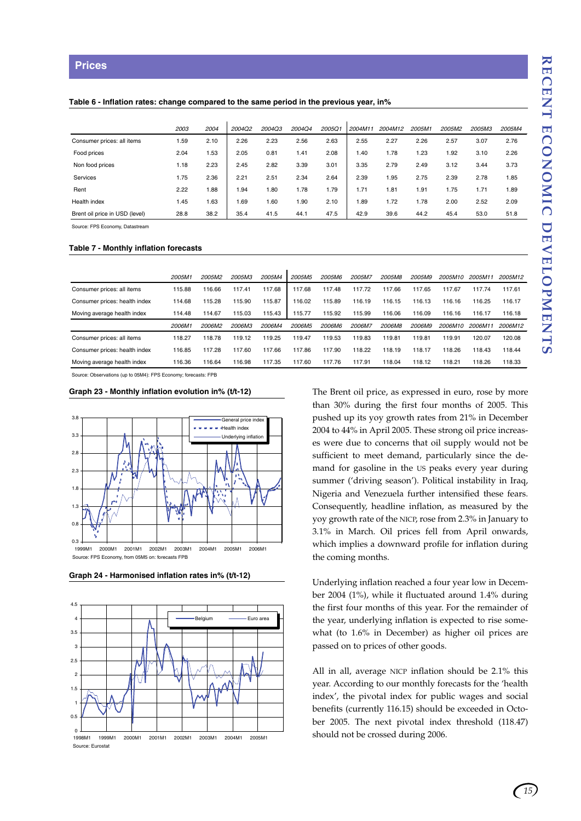#### **Table 6 - Inflation rates: change compared to the same period in the previous year, in%**

|                                | 2003 | 2004 | 2004Q2 | 2004Q3 | 2004Q4 | 2005Q1 | 2004M11 | 2004M12 | 2005M1 | 2005M2 | 2005M3 | 2005M4 |
|--------------------------------|------|------|--------|--------|--------|--------|---------|---------|--------|--------|--------|--------|
| Consumer prices: all items     | 1.59 | 2.10 | 2.26   | 2.23   | 2.56   | 2.63   | 2.55    | 2.27    | 2.26   | 2.57   | 3.07   | 2.76   |
| Food prices                    | 2.04 | .53  | 2.05   | 0.81   | 1.41   | 2.08   | 1.40    | 1.78    | 1.23   | 1.92   | 3.10   | 2.26   |
| Non food prices                | 1.18 | 2.23 | 2.45   | 2.82   | 3.39   | 3.01   | 3.35    | 2.79    | 2.49   | 3.12   | 3.44   | 3.73   |
| Services                       | 1.75 | 2.36 | 2.21   | 2.51   | 2.34   | 2.64   | 2.39    | 1.95    | 2.75   | 2.39   | 2.78   | 1.85   |
| Rent                           | 2.22 | .88  | .94    | 1.80   | 1.78   | 1.79   | 1.71    | 1.81    | 1.91   | 1.75   | 1.71   | 1.89   |
| Health index                   | 1.45 | .63  | .69،   | 1.60   | .90    | 2.10   | .89     | 1.72    | 1.78   | 2.00   | 2.52   | 2.09   |
| Brent oil price in USD (level) | 28.8 | 38.2 | 35.4   | 41.5   | 44.1   | 47.5   | 42.9    | 39.6    | 44.2   | 45.4   | 53.0   | 51.8   |

Source: FPS Economy, Datastream

#### **Table 7 - Monthly inflation forecasts**

|                               | 2005M1 | 2005M2 | 2005M3 | 2005M4 | 2005M <sub>5</sub> | 2005M6 | 2005M7 | 2005M8     | 2005M9 | 2005M10 | 2005M11 | 2005M12 |
|-------------------------------|--------|--------|--------|--------|--------------------|--------|--------|------------|--------|---------|---------|---------|
| Consumer prices: all items    | 115.88 | 116.66 | 117.41 | 117.68 | 117.68             | 117.48 | 117.72 | .66<br>117 | 117.65 | 117.67  | 117.74  | 117.61  |
| Consumer prices: health index | 114.68 | 115.28 | 115.90 | 115.87 | 116.02             | 115.89 | 116.19 | 116.15     | 116.13 | 116.16  | 116.25  | 116.17  |
| Moving average health index   | 114.48 | 114.67 | 115.03 | 115.43 | 115.77             | 115.92 | 115.99 | 116.06     | 116.09 | 116.16  | 116.17  | 116.18  |
|                               | 2006M1 | 2006M2 | 2006M3 | 2006M4 | 2006M <sub>5</sub> | 2006M6 | 2006M7 | 2006M8     | 2006M9 | 2006M10 | 2006M11 | 2006M12 |
| Consumer prices: all items    | 118.27 | 118.78 | 119.12 | 119.25 | 119.47             | 119.53 | 119.83 | 119.81     | 119.81 | 119.91  | 120.07  | 120.08  |
| Consumer prices: health index | 116.85 | 117.28 | 117.60 | 117.66 | 117.86             | 117.90 | 118.22 | 118.19     | 118.17 | 118.26  | 118.43  | 118.44  |
| Moving average health index   | 116.36 | 116.64 | 116.98 | 117.35 | 117.60             | 117.76 | 117.91 | 118.04     | 118.12 | 118.21  | 118.26  | 118.33  |

Source: Observations (up to 05M4): FPS Economy; forecasts: FPB

#### **Graph 23 - Monthly inflation evolution in% (t/t-12)**





**Graph 24 - Harmonised inflation rates in% (t/t-12)**

The Brent oil price, as expressed in euro, rose by more than 30% during the first four months of 2005. This pushed up its yoy growth rates from 21% in December 2004 to 44% in April 2005. These strong oil price increases were due to concerns that oil supply would not be sufficient to meet demand, particularly since the demand for gasoline in the US peaks every year during summer ('driving season'). Political instability in Iraq, Nigeria and Venezuela further intensified these fears. Consequently, headline inflation, as measured by the yoy growth rate of the NICP, rose from 2.3% in January to 3.1% in March. Oil prices fell from April onwards, which implies a downward profile for inflation during the coming months.

Underlying inflation reached a four year low in December 2004 (1%), while it fluctuated around 1.4% during the first four months of this year. For the remainder of the year, underlying inflation is expected to rise somewhat (to 1.6% in December) as higher oil prices are passed on to prices of other goods.

All in all, average NICP inflation should be 2.1% this year. According to our monthly forecasts for the 'health index', the pivotal index for public wages and social benefits (currently 116.15) should be exceeded in October 2005. The next pivotal index threshold (118.47) should not be crossed during 2006.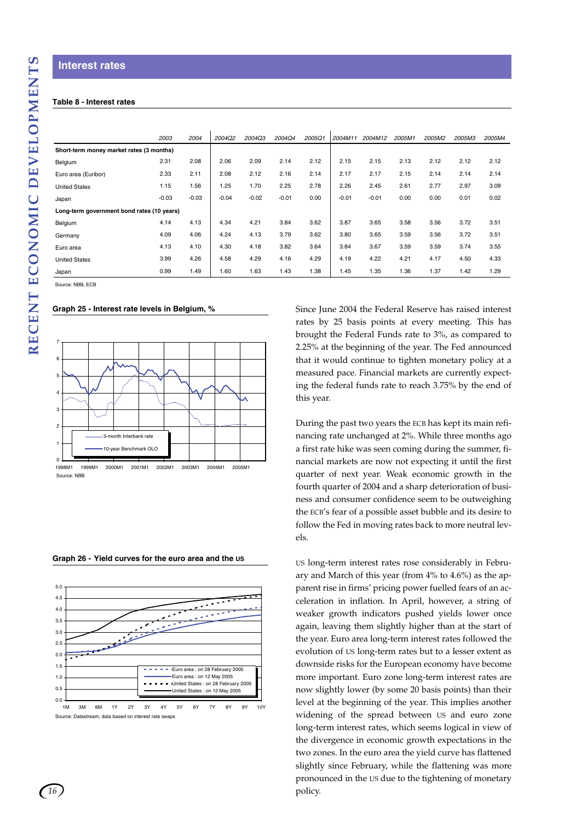## **Interest rates**

#### **Table 8 - Interest rates**

|                                            | 2003    | 2004    | 2004Q2  | 2004Q3  | 2004Q4  | 2005Q1 | 2004M11 | 2004M12 | 2005M1 | 2005M2 | 2005M3 | 2005M4 |
|--------------------------------------------|---------|---------|---------|---------|---------|--------|---------|---------|--------|--------|--------|--------|
| Short-term money market rates (3 months)   |         |         |         |         |         |        |         |         |        |        |        |        |
| Belgium                                    | 2.31    | 2.08    | 2.06    | 2.09    | 2.14    | 2.12   | 2.15    | 2.15    | 2.13   | 2.12   | 2.12   | 2.12   |
| Euro area (Euribor)                        | 2.33    | 2.11    | 2.08    | 2.12    | 2.16    | 2.14   | 2.17    | 2.17    | 2.15   | 2.14   | 2.14   | 2.14   |
| <b>United States</b>                       | 1.15    | 1.56    | 1.25    | 1.70    | 2.25    | 2.78   | 2.26    | 2.45    | 2.61   | 2.77   | 2.97   | 3.09   |
| Japan                                      | $-0.03$ | $-0.03$ | $-0.04$ | $-0.02$ | $-0.01$ | 0.00   | $-0.01$ | $-0.01$ | 0.00   | 0.00   | 0.01   | 0.02   |
| Long-term government bond rates (10 years) |         |         |         |         |         |        |         |         |        |        |        |        |
| Belgium                                    | 4.14    | 4.13    | 4.34    | 4.21    | 3.84    | 3.62   | 3.87    | 3.65    | 3.58   | 3.56   | 3.72   | 3.51   |
| Germany                                    | 4.09    | 4.06    | 4.24    | 4.13    | 3.79    | 3.62   | 3.80    | 3.65    | 3.59   | 3.56   | 3.72   | 3.51   |
| Euro area                                  | 4.13    | 4.10    | 4.30    | 4.18    | 3.82    | 3.64   | 3.84    | 3.67    | 3.59   | 3.59   | 3.74   | 3.55   |
| <b>United States</b>                       | 3.99    | 4.26    | 4.58    | 4.29    | 4.16    | 4.29   | 4.19    | 4.22    | 4.21   | 4.17   | 4.50   | 4.33   |
| Japan                                      | 0.99    | 1.49    | 1.60    | 1.63    | 1.43    | 1.38   | 1.45    | 1.35    | 1.36   | 1.37   | 1.42   | 1.29   |

Source: NBB, ECB

#### **Graph 25 - Interest rate levels in Belgium, %**



**Graph 26 - Yield curves for the euro area and the US**



Since June 2004 the Federal Reserve has raised interest rates by 25 basis points at every meeting. This has brought the Federal Funds rate to 3%, as compared to 2.25% at the beginning of the year. The Fed announced that it would continue to tighten monetary policy at a measured pace. Financial markets are currently expecting the federal funds rate to reach 3.75% by the end of this year.

During the past two years the ECB has kept its main refinancing rate unchanged at 2%. While three months ago a first rate hike was seen coming during the summer, financial markets are now not expecting it until the first quarter of next year. Weak economic growth in the fourth quarter of 2004 and a sharp deterioration of business and consumer confidence seem to be outweighing the ECB's fear of a possible asset bubble and its desire to follow the Fed in moving rates back to more neutral levels.

US long-term interest rates rose considerably in February and March of this year (from 4% to 4.6%) as the apparent rise in firms' pricing power fuelled fears of an acceleration in inflation. In April, however, a string of weaker growth indicators pushed yields lower once again, leaving them slightly higher than at the start of the year. Euro area long-term interest rates followed the evolution of US long-term rates but to a lesser extent as downside risks for the European economy have become more important. Euro zone long-term interest rates are now slightly lower (by some 20 basis points) than their level at the beginning of the year. This implies another widening of the spread between US and euro zone long-term interest rates, which seems logical in view of the divergence in economic growth expectations in the two zones. In the euro area the yield curve has flattened slightly since February, while the flattening was more pronounced in the US due to the tightening of monetary policy.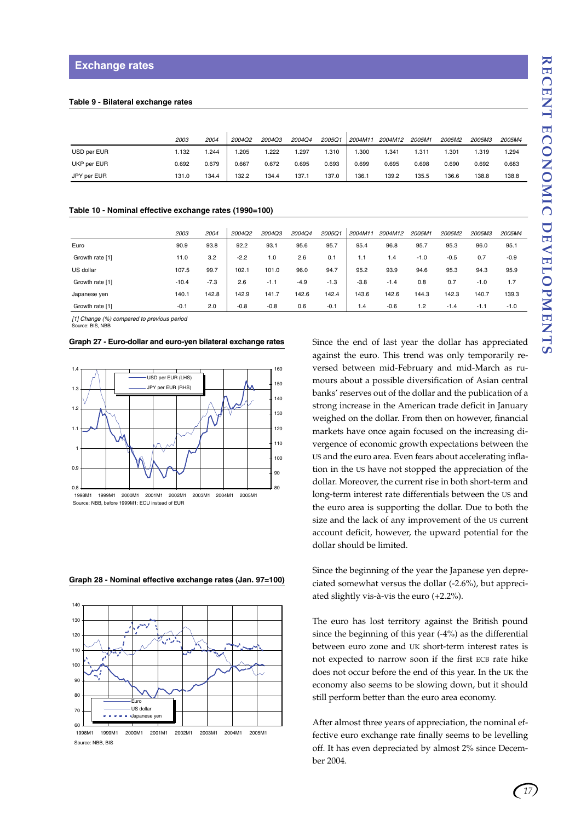#### **Table 9 - Bilateral exchange rates**

|             | 2003  | 2004  | 2004Q2 | 2004Q3 | 2004Q4 | 2005Q1 | 2004M11 | 2004M12 | 2005M1 | 2005M2 | 2005M3 | 2005M4 |
|-------------|-------|-------|--------|--------|--------|--------|---------|---------|--------|--------|--------|--------|
| USD per EUR | .132  | .244  | .205   | .222   | . 297  | 1.310  | .300    | 1.341   | 1.311  | .301   | 1.319  | 1.294  |
| UKP per EUR | 0.692 | 0.679 | 0.667  | 0.672  | 0.695  | 0.693  | 0.699   | 0.695   | 0.698  | 0.690  | 0.692  | 0.683  |
| JPY per EUR | 131.0 | 134.4 | 132.2  | 134.4  | 137.1  | 137.0  | 136.    | 139.2   | 135.5  | 136.6  | 138.8  | 138.8  |

#### **Table 10 - Nominal effective exchange rates (1990=100)**

|                 | 2003    | 2004   | 2004Q2 | 2004Q3 | 2004Q4 | 2005Q1 | 2004M11 | 2004M12 | 2005M1 | 2005M2 | 2005M3 | 2005M4 |
|-----------------|---------|--------|--------|--------|--------|--------|---------|---------|--------|--------|--------|--------|
| Euro            | 90.9    | 93.8   | 92.2   | 93.1   | 95.6   | 95.7   | 95.4    | 96.8    | 95.7   | 95.3   | 96.0   | 95.1   |
| Growth rate [1] | 11.0    | 3.2    | $-2.2$ | 1.0    | 2.6    | 0.1    | 1.1     | 1.4     | $-1.0$ | $-0.5$ | 0.7    | $-0.9$ |
| US dollar       | 107.5   | 99.7   | 102.1  | 101.0  | 96.0   | 94.7   | 95.2    | 93.9    | 94.6   | 95.3   | 94.3   | 95.9   |
| Growth rate [1] | $-10.4$ | $-7.3$ | 2.6    | $-1.1$ | $-4.9$ | $-1.3$ | $-3.8$  | $-1.4$  | 0.8    | 0.7    | $-1.0$ | 1.7    |
| Japanese yen    | 140.1   | 142.8  | 142.9  | 141.7  | 142.6  | 142.4  | 143.6   | 142.6   | 144.3  | 142.3  | 140.7  | 139.3  |
| Growth rate [1] | $-0.1$  | 2.0    | $-0.8$ | $-0.8$ | 0.6    | $-0.1$ | 1.4     | $-0.6$  | 1.2    | $-1.4$ | $-1.1$ | $-1.0$ |

*[1] Change (%) compared to previous period* Source: BIS, NBB

#### **Graph 27 - Euro-dollar and euro-yen bilateral exchange rates**



Source: NBB, before 1999M1: ECU instead of EUR

Since the end of last year the dollar has appreciated against the euro. This trend was only temporarily reversed between mid-February and mid-March as rumours about a possible diversification of Asian central banks' reserves out of the dollar and the publication of a strong increase in the American trade deficit in January weighed on the dollar. From then on however, financial markets have once again focused on the increasing divergence of economic growth expectations between the US and the euro area. Even fears about accelerating inflation in the US have not stopped the appreciation of the dollar. Moreover, the current rise in both short-term and long-term interest rate differentials between the US and the euro area is supporting the dollar. Due to both the size and the lack of any improvement of the US current account deficit, however, the upward potential for the dollar should be limited.

Since the beginning of the year the Japanese yen depreciated somewhat versus the dollar (-2.6%), but appreciated slightly vis-à-vis the euro (+2.2%).

The euro has lost territory against the British pound since the beginning of this year (-4%) as the differential between euro zone and UK short-term interest rates is not expected to narrow soon if the first ECB rate hike does not occur before the end of this year. In the UK the economy also seems to be slowing down, but it should still perform better than the euro area economy.

After almost three years of appreciation, the nominal effective euro exchange rate finally seems to be levelling off. It has even depreciated by almost 2% since December 2004.

#### **Graph 28 - Nominal effective exchange rates (Jan. 97=100)**



Source: NBB, BIS

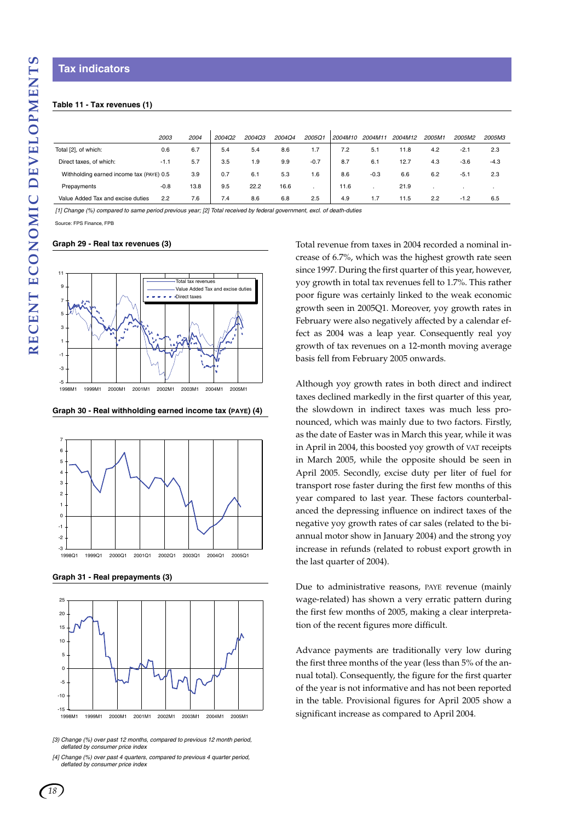#### **Table 11 - Tax revenues (1)**

|                                          | 2003   | 2004 | 2004Q2 | <b>2004Q3</b> | 2004Q4 | 2005Q  | 2004M10 | 2004M11 | 2004M12 | 2005M1 | <b>2005M2</b> | 2005M3 |
|------------------------------------------|--------|------|--------|---------------|--------|--------|---------|---------|---------|--------|---------------|--------|
| Total [2], of which:                     | 0.6    | 6.7  | 5.4    | 5.4           | 8.6    | 1.7    | 7.2     | 5.1     | 11.8    | 4.2    | $-2.1$        | 2.3    |
| Direct taxes, of which:                  | $-1.1$ | 5.7  | 3.5    | 9. ا          | 9.9    | $-0.7$ | 8.7     | 6.1     | 12.7    | 4.3    | $-3.6$        | $-4.3$ |
| Withholding earned income tax (PAYE) 0.5 |        | 3.9  | 0.7    | 6.1           | 5.3    | 1.6    | 8.6     | $-0.3$  | 6.6     | 6.2    | $-5.1$        | 2.3    |
| Prepayments                              | $-0.8$ | 13.8 | 9.5    | 22.2          | 16.6   |        | 11.6    |         | 21.9    |        |               |        |
| Value Added Tax and excise duties        | 2.2    | 7.6  | 7.4    | 8.6           | 6.8    | 2.5    | 4.9     | 1.7     | 11.5    | 2.2    | $-1.2$        | 6.5    |

*[1] Change (%) compared to same period previous year; [2] Total received by federal government, excl. of death-duties*

Source: FPS Finance, FPB

#### **Graph 29 - Real tax revenues (3)**



**Graph 30 - Real withholding earned income tax (PAYE) (4)**



**Graph 31 - Real prepayments (3)**



*[3) Change (%) over past 12 months, compared to previous 12 month period, deflated by consumer price index*

Total revenue from taxes in 2004 recorded a nominal increase of 6.7%, which was the highest growth rate seen since 1997. During the first quarter of this year, however, yoy growth in total tax revenues fell to 1.7%. This rather poor figure was certainly linked to the weak economic growth seen in 2005Q1. Moreover, yoy growth rates in February were also negatively affected by a calendar effect as 2004 was a leap year. Consequently real yoy growth of tax revenues on a 12-month moving average basis fell from February 2005 onwards.

Although yoy growth rates in both direct and indirect taxes declined markedly in the first quarter of this year, the slowdown in indirect taxes was much less pronounced, which was mainly due to two factors. Firstly, as the date of Easter was in March this year, while it was in April in 2004, this boosted yoy growth of VAT receipts in March 2005, while the opposite should be seen in April 2005. Secondly, excise duty per liter of fuel for transport rose faster during the first few months of this year compared to last year. These factors counterbalanced the depressing influence on indirect taxes of the negative yoy growth rates of car sales (related to the biannual motor show in January 2004) and the strong yoy increase in refunds (related to robust export growth in the last quarter of 2004).

Due to administrative reasons, PAYE revenue (mainly wage-related) has shown a very erratic pattern during the first few months of 2005, making a clear interpretation of the recent figures more difficult.

Advance payments are traditionally very low during the first three months of the year (less than 5% of the annual total). Consequently, the figure for the first quarter of the year is not informative and has not been reported in the table. Provisional figures for April 2005 show a significant increase as compared to April 2004.

*<sup>[4]</sup> Change (%) over past 4 quarters, compared to previous 4 quarter period, deflated by consumer price index*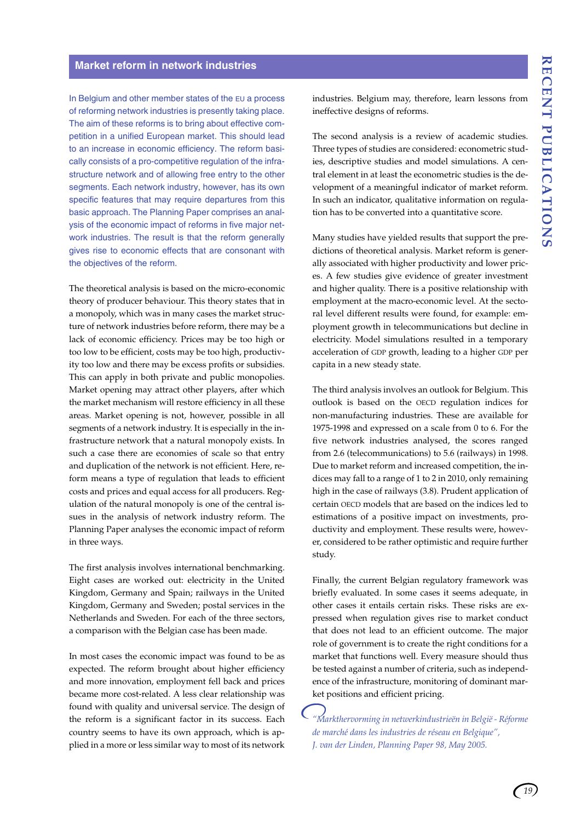#### **Market reform in network industries**

In Belgium and other member states of the EU a process of reforming network industries is presently taking place. The aim of these reforms is to bring about effective competition in a unified European market. This should lead to an increase in economic efficiency. The reform basically consists of a pro-competitive regulation of the infrastructure network and of allowing free entry to the other segments. Each network industry, however, has its own specific features that may require departures from this basic approach. The Planning Paper comprises an analysis of the economic impact of reforms in five major network industries. The result is that the reform generally gives rise to economic effects that are consonant with the objectives of the reform.

The theoretical analysis is based on the micro-economic theory of producer behaviour. This theory states that in a monopoly, which was in many cases the market structure of network industries before reform, there may be a lack of economic efficiency. Prices may be too high or too low to be efficient, costs may be too high, productivity too low and there may be excess profits or subsidies. This can apply in both private and public monopolies. Market opening may attract other players, after which the market mechanism will restore efficiency in all these areas. Market opening is not, however, possible in all segments of a network industry. It is especially in the infrastructure network that a natural monopoly exists. In such a case there are economies of scale so that entry and duplication of the network is not efficient. Here, reform means a type of regulation that leads to efficient costs and prices and equal access for all producers. Regulation of the natural monopoly is one of the central issues in the analysis of network industry reform. The Planning Paper analyses the economic impact of reform in three ways.

The first analysis involves international benchmarking. Eight cases are worked out: electricity in the United Kingdom, Germany and Spain; railways in the United Kingdom, Germany and Sweden; postal services in the Netherlands and Sweden. For each of the three sectors, a comparison with the Belgian case has been made.

In most cases the economic impact was found to be as expected. The reform brought about higher efficiency and more innovation, employment fell back and prices became more cost-related. A less clear relationship was found with quality and universal service. The design of the reform is a significant factor in its success. Each country seems to have its own approach, which is applied in a more or less similar way to most of its network industries. Belgium may, therefore, learn lessons from ineffective designs of reforms.

The second analysis is a review of academic studies. Three types of studies are considered: econometric studies, descriptive studies and model simulations. A central element in at least the econometric studies is the development of a meaningful indicator of market reform. In such an indicator, qualitative information on regulation has to be converted into a quantitative score.

Many studies have yielded results that support the predictions of theoretical analysis. Market reform is generally associated with higher productivity and lower prices. A few studies give evidence of greater investment and higher quality. There is a positive relationship with employment at the macro-economic level. At the sectoral level different results were found, for example: employment growth in telecommunications but decline in electricity. Model simulations resulted in a temporary acceleration of GDP growth, leading to a higher GDP per capita in a new steady state.

The third analysis involves an outlook for Belgium. This outlook is based on the OECD regulation indices for non-manufacturing industries. These are available for 1975-1998 and expressed on a scale from 0 to 6. For the five network industries analysed, the scores ranged from 2.6 (telecommunications) to 5.6 (railways) in 1998. Due to market reform and increased competition, the indices may fall to a range of 1 to 2 in 2010, only remaining high in the case of railways (3.8). Prudent application of certain OECD models that are based on the indices led to estimations of a positive impact on investments, productivity and employment. These results were, however, considered to be rather optimistic and require further study.

Finally, the current Belgian regulatory framework was briefly evaluated. In some cases it seems adequate, in other cases it entails certain risks. These risks are expressed when regulation gives rise to market conduct that does not lead to an efficient outcome. The major role of government is to create the right conditions for a market that functions well. Every measure should thus be tested against a number of criteria, such as independence of the infrastructure, monitoring of dominant market positions and efficient pricing.

*"Markthervorming in netwerkindustrieën in België - Réforme de marché dans les industries de réseau en Belgique", J. van der Linden, Planning Paper 98, May 2005.*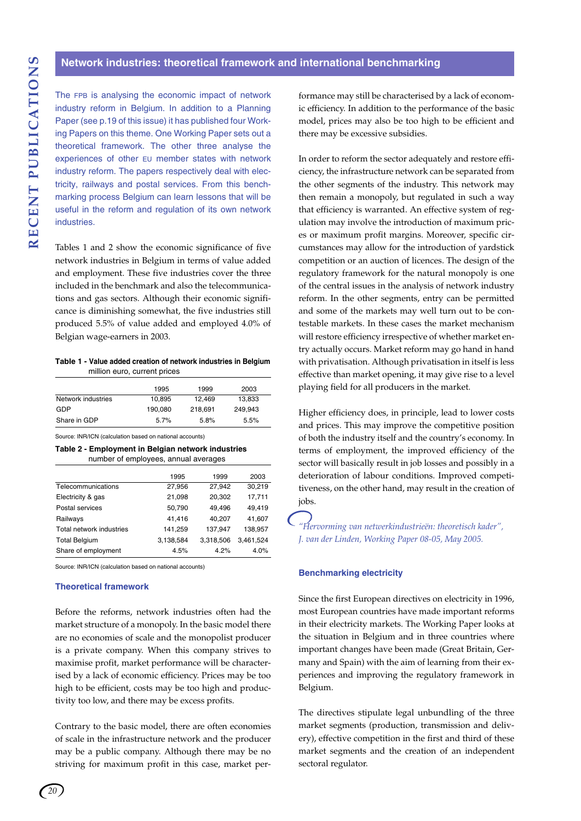The FPB is analysing the economic impact of network industry reform in Belgium. In addition to a Planning Paper (see p.19 of this issue) it has published four Working Papers on this theme. One Working Paper sets out a theoretical framework. The other three analyse the experiences of other EU member states with network industry reform. The papers respectively deal with electricity, railways and postal services. From this benchmarking process Belgium can learn lessons that will be useful in the reform and regulation of its own network industries.

Tables 1 and 2 show the economic significance of five network industries in Belgium in terms of value added and employment. These five industries cover the three included in the benchmark and also the telecommunications and gas sectors. Although their economic significance is diminishing somewhat, the five industries still produced 5.5% of value added and employed 4.0% of Belgian wage-earners in 2003.

**Table 1 - Value added creation of network industries in Belgium** million euro, current prices

|                    | 1995    | 1999    | 2003    |
|--------------------|---------|---------|---------|
| Network industries | 10.895  | 12.469  | 13,833  |
| GDP                | 190.080 | 218.691 | 249.943 |
| Share in GDP       | 5.7%    | 5.8%    | 5.5%    |

Source: INR/ICN (calculation based on national accounts)

**Table 2 - Employment in Belgian network industries** number of employees, annual averages

|                          | 1995      | 1999      | 2003      |
|--------------------------|-----------|-----------|-----------|
| Telecommunications       | 27,956    | 27,942    | 30,219    |
| Electricity & gas        | 21,098    | 20,302    | 17,711    |
| Postal services          | 50,790    | 49,496    | 49,419    |
| Railways                 | 41,416    | 40,207    | 41,607    |
| Total network industries | 141,259   | 137,947   | 138,957   |
| <b>Total Belgium</b>     | 3,138,584 | 3,318,506 | 3,461,524 |
| Share of employment      | 4.5%      | 4.2%      | 4.0%      |

Source: INR/ICN (calculation based on national accounts)

#### **Theoretical framework**

Before the reforms, network industries often had the market structure of a monopoly. In the basic model there are no economies of scale and the monopolist producer is a private company. When this company strives to maximise profit, market performance will be characterised by a lack of economic efficiency. Prices may be too high to be efficient, costs may be too high and productivity too low, and there may be excess profits.

Contrary to the basic model, there are often economies of scale in the infrastructure network and the producer may be a public company. Although there may be no striving for maximum profit in this case, market performance may still be characterised by a lack of economic efficiency. In addition to the performance of the basic model, prices may also be too high to be efficient and there may be excessive subsidies.

In order to reform the sector adequately and restore efficiency, the infrastructure network can be separated from the other segments of the industry. This network may then remain a monopoly, but regulated in such a way that efficiency is warranted. An effective system of regulation may involve the introduction of maximum prices or maximum profit margins. Moreover, specific circumstances may allow for the introduction of yardstick competition or an auction of licences. The design of the regulatory framework for the natural monopoly is one of the central issues in the analysis of network industry reform. In the other segments, entry can be permitted and some of the markets may well turn out to be contestable markets. In these cases the market mechanism will restore efficiency irrespective of whether market entry actually occurs. Market reform may go hand in hand with privatisation. Although privatisation in itself is less effective than market opening, it may give rise to a level playing field for all producers in the market.

Higher efficiency does, in principle, lead to lower costs and prices. This may improve the competitive position of both the industry itself and the country's economy. In terms of employment, the improved efficiency of the sector will basically result in job losses and possibly in a deterioration of labour conditions. Improved competitiveness, on the other hand, may result in the creation of jobs.

*"Hervorming van netwerkindustrieën: theoretisch kader", J. van der Linden, Working Paper 08-05, May 2005.*

#### **Benchmarking electricity**

Since the first European directives on electricity in 1996, most European countries have made important reforms in their electricity markets. The Working Paper looks at the situation in Belgium and in three countries where important changes have been made (Great Britain, Germany and Spain) with the aim of learning from their experiences and improving the regulatory framework in Belgium.

The directives stipulate legal unbundling of the three market segments (production, transmission and delivery), effective competition in the first and third of these market segments and the creation of an independent sectoral regulator.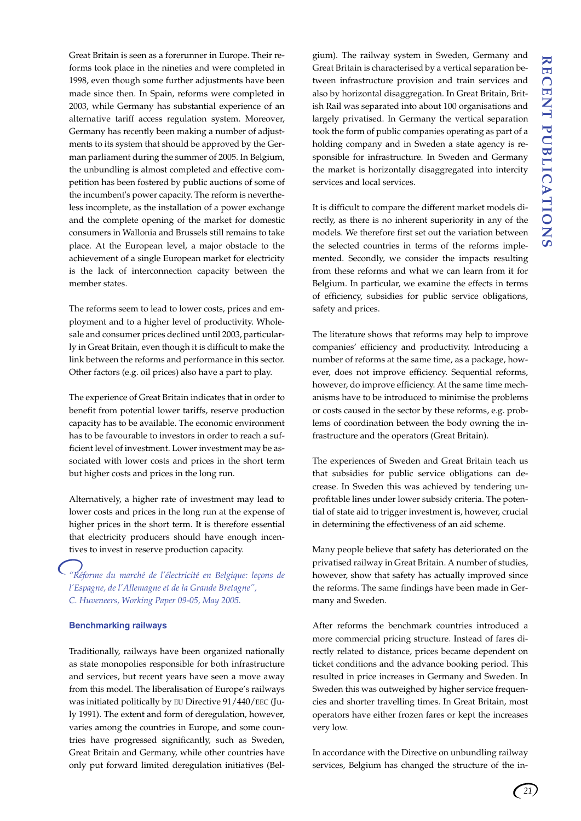Great Britain is seen as a forerunner in Europe. Their reforms took place in the nineties and were completed in 1998, even though some further adjustments have been made since then. In Spain, reforms were completed in 2003, while Germany has substantial experience of an alternative tariff access regulation system. Moreover, Germany has recently been making a number of adjustments to its system that should be approved by the German parliament during the summer of 2005. In Belgium, the unbundling is almost completed and effective competition has been fostered by public auctions of some of the incumbent's power capacity. The reform is nevertheless incomplete, as the installation of a power exchange and the complete opening of the market for domestic consumers in Wallonia and Brussels still remains to take place. At the European level, a major obstacle to the achievement of a single European market for electricity is the lack of interconnection capacity between the member states.

The reforms seem to lead to lower costs, prices and employment and to a higher level of productivity. Wholesale and consumer prices declined until 2003, particularly in Great Britain, even though it is difficult to make the link between the reforms and performance in this sector. Other factors (e.g. oil prices) also have a part to play.

The experience of Great Britain indicates that in order to benefit from potential lower tariffs, reserve production capacity has to be available. The economic environment has to be favourable to investors in order to reach a sufficient level of investment. Lower investment may be associated with lower costs and prices in the short term but higher costs and prices in the long run.

Alternatively, a higher rate of investment may lead to lower costs and prices in the long run at the expense of higher prices in the short term. It is therefore essential that electricity producers should have enough incentives to invest in reserve production capacity.

*"Réforme du marché de l'électricité en Belgique: leçons de l'Espagne, de l'Allemagne et de la Grande Bretagne", C. Huveneers, Working Paper 09-05, May 2005.*

#### **Benchmarking railways**

Traditionally, railways have been organized nationally as state monopolies responsible for both infrastructure and services, but recent years have seen a move away from this model. The liberalisation of Europe's railways was initiated politically by EU Directive 91/440/EEC (July 1991). The extent and form of deregulation, however, varies among the countries in Europe, and some countries have progressed significantly, such as Sweden, Great Britain and Germany, while other countries have only put forward limited deregulation initiatives (Belgium). The railway system in Sweden, Germany and Great Britain is characterised by a vertical separation between infrastructure provision and train services and also by horizontal disaggregation. In Great Britain, British Rail was separated into about 100 organisations and largely privatised. In Germany the vertical separation took the form of public companies operating as part of a holding company and in Sweden a state agency is responsible for infrastructure. In Sweden and Germany the market is horizontally disaggregated into intercity services and local services.

It is difficult to compare the different market models directly, as there is no inherent superiority in any of the models. We therefore first set out the variation between the selected countries in terms of the reforms implemented. Secondly, we consider the impacts resulting from these reforms and what we can learn from it for Belgium. In particular, we examine the effects in terms of efficiency, subsidies for public service obligations, safety and prices.

The literature shows that reforms may help to improve companies' efficiency and productivity. Introducing a number of reforms at the same time, as a package, however, does not improve efficiency. Sequential reforms, however, do improve efficiency. At the same time mechanisms have to be introduced to minimise the problems or costs caused in the sector by these reforms, e.g. problems of coordination between the body owning the infrastructure and the operators (Great Britain).

The experiences of Sweden and Great Britain teach us that subsidies for public service obligations can decrease. In Sweden this was achieved by tendering unprofitable lines under lower subsidy criteria. The potential of state aid to trigger investment is, however, crucial in determining the effectiveness of an aid scheme.

Many people believe that safety has deteriorated on the privatised railway in Great Britain. A number of studies, however, show that safety has actually improved since the reforms. The same findings have been made in Germany and Sweden.

After reforms the benchmark countries introduced a more commercial pricing structure. Instead of fares directly related to distance, prices became dependent on ticket conditions and the advance booking period. This resulted in price increases in Germany and Sweden. In Sweden this was outweighed by higher service frequencies and shorter travelling times. In Great Britain, most operators have either frozen fares or kept the increases very low.

In accordance with the Directive on unbundling railway services, Belgium has changed the structure of the in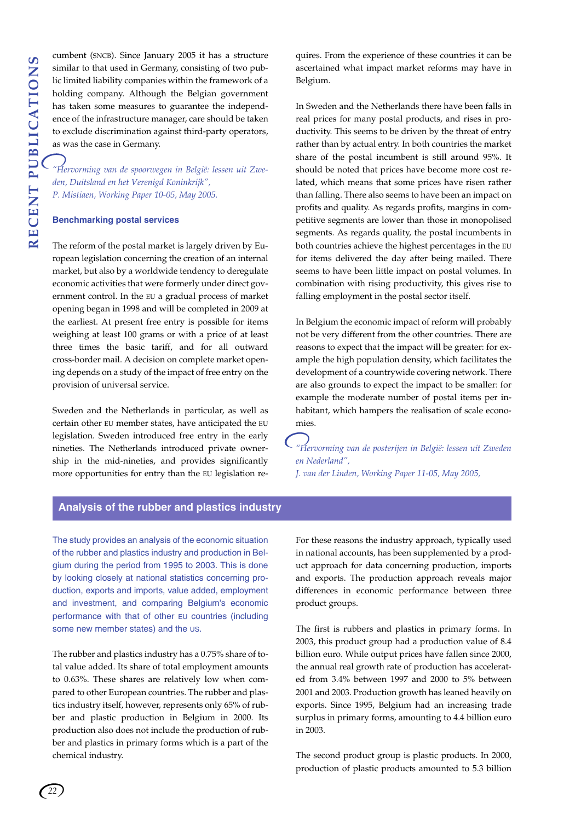cumbent (SNCB). Since January 2005 it has a structure similar to that used in Germany, consisting of two public limited liability companies within the framework of a holding company. Although the Belgian government has taken some measures to guarantee the independence of the infrastructure manager, care should be taken to exclude discrimination against third-party operators, as was the case in Germany.

*"Hervorming van de spoorwegen in België: lessen uit Zweden, Duitsland en het Verenigd Koninkrijk", P. Mistiaen, Working Paper 10-05, May 2005.*

#### **Benchmarking postal services**

The reform of the postal market is largely driven by European legislation concerning the creation of an internal market, but also by a worldwide tendency to deregulate economic activities that were formerly under direct government control. In the EU a gradual process of market opening began in 1998 and will be completed in 2009 at the earliest. At present free entry is possible for items weighing at least 100 grams or with a price of at least three times the basic tariff, and for all outward cross-border mail. A decision on complete market opening depends on a study of the impact of free entry on the provision of universal service.

Sweden and the Netherlands in particular, as well as certain other EU member states, have anticipated the EU legislation. Sweden introduced free entry in the early nineties. The Netherlands introduced private ownership in the mid-nineties, and provides significantly more opportunities for entry than the EU legislation requires. From the experience of these countries it can be ascertained what impact market reforms may have in Belgium.

In Sweden and the Netherlands there have been falls in real prices for many postal products, and rises in productivity. This seems to be driven by the threat of entry rather than by actual entry. In both countries the market share of the postal incumbent is still around 95%. It should be noted that prices have become more cost related, which means that some prices have risen rather than falling. There also seems to have been an impact on profits and quality. As regards profits, margins in competitive segments are lower than those in monopolised segments. As regards quality, the postal incumbents in both countries achieve the highest percentages in the EU for items delivered the day after being mailed. There seems to have been little impact on postal volumes. In combination with rising productivity, this gives rise to falling employment in the postal sector itself.

In Belgium the economic impact of reform will probably not be very different from the other countries. There are reasons to expect that the impact will be greater: for example the high population density, which facilitates the development of a countrywide covering network. There are also grounds to expect the impact to be smaller: for example the moderate number of postal items per inhabitant, which hampers the realisation of scale economies.

*"Hervorming van de posterijen in België: lessen uit Zweden en Nederland", J. van der Linden, Working Paper 11-05, May 2005,*

**Analysis of the rubber and plastics industry**

The study provides an analysis of the economic situation of the rubber and plastics industry and production in Belgium during the period from 1995 to 2003. This is done by looking closely at national statistics concerning production, exports and imports, value added, employment and investment, and comparing Belgium's economic performance with that of other EU countries (including some new member states) and the US.

The rubber and plastics industry has a 0.75% share of total value added. Its share of total employment amounts to 0.63%. These shares are relatively low when compared to other European countries. The rubber and plastics industry itself, however, represents only 65% of rubber and plastic production in Belgium in 2000. Its production also does not include the production of rubber and plastics in primary forms which is a part of the chemical industry.

For these reasons the industry approach, typically used in national accounts, has been supplemented by a product approach for data concerning production, imports and exports. The production approach reveals major differences in economic performance between three product groups.

The first is rubbers and plastics in primary forms. In 2003, this product group had a production value of 8.4 billion euro. While output prices have fallen since 2000, the annual real growth rate of production has accelerated from 3.4% between 1997 and 2000 to 5% between 2001 and 2003. Production growth has leaned heavily on exports. Since 1995, Belgium had an increasing trade surplus in primary forms, amounting to 4.4 billion euro in 2003.

The second product group is plastic products. In 2000, production of plastic products amounted to 5.3 billion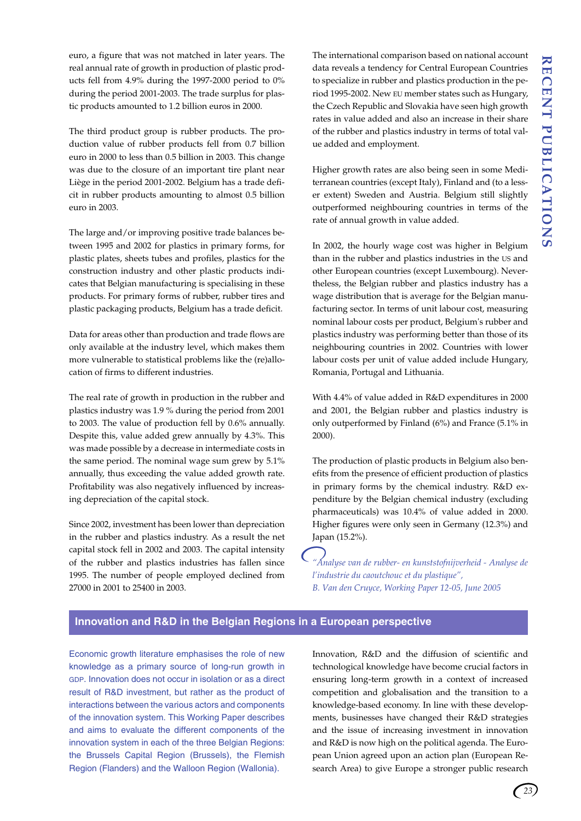euro, a figure that was not matched in later years. The real annual rate of growth in production of plastic products fell from 4.9% during the 1997-2000 period to 0% during the period 2001-2003. The trade surplus for plastic products amounted to 1.2 billion euros in 2000.

The third product group is rubber products. The production value of rubber products fell from 0.7 billion euro in 2000 to less than 0.5 billion in 2003. This change was due to the closure of an important tire plant near Liège in the period 2001-2002. Belgium has a trade deficit in rubber products amounting to almost 0.5 billion euro in 2003.

The large and/or improving positive trade balances between 1995 and 2002 for plastics in primary forms, for plastic plates, sheets tubes and profiles, plastics for the construction industry and other plastic products indicates that Belgian manufacturing is specialising in these products. For primary forms of rubber, rubber tires and plastic packaging products, Belgium has a trade deficit.

Data for areas other than production and trade flows are only available at the industry level, which makes them more vulnerable to statistical problems like the (re)allocation of firms to different industries.

The real rate of growth in production in the rubber and plastics industry was 1.9 % during the period from 2001 to 2003. The value of production fell by 0.6% annually. Despite this, value added grew annually by 4.3%. This was made possible by a decrease in intermediate costs in the same period. The nominal wage sum grew by 5.1% annually, thus exceeding the value added growth rate. Profitability was also negatively influenced by increasing depreciation of the capital stock.

Since 2002, investment has been lower than depreciation in the rubber and plastics industry. As a result the net capital stock fell in 2002 and 2003. The capital intensity of the rubber and plastics industries has fallen since 1995. The number of people employed declined from 27000 in 2001 to 25400 in 2003.

The international comparison based on national account data reveals a tendency for Central European Countries to specialize in rubber and plastics production in the period 1995-2002. New EU member states such as Hungary, the Czech Republic and Slovakia have seen high growth rates in value added and also an increase in their share of the rubber and plastics industry in terms of total value added and employment.

Higher growth rates are also being seen in some Mediterranean countries (except Italy), Finland and (to a lesser extent) Sweden and Austria. Belgium still slightly outperformed neighbouring countries in terms of the rate of annual growth in value added.

In 2002, the hourly wage cost was higher in Belgium than in the rubber and plastics industries in the US and other European countries (except Luxembourg). Nevertheless, the Belgian rubber and plastics industry has a wage distribution that is average for the Belgian manufacturing sector. In terms of unit labour cost, measuring nominal labour costs per product, Belgium's rubber and plastics industry was performing better than those of its neighbouring countries in 2002. Countries with lower labour costs per unit of value added include Hungary, Romania, Portugal and Lithuania.

With 4.4% of value added in R&D expenditures in 2000 and 2001, the Belgian rubber and plastics industry is only outperformed by Finland (6%) and France (5.1% in 2000).

The production of plastic products in Belgium also benefits from the presence of efficient production of plastics in primary forms by the chemical industry. R&D expenditure by the Belgian chemical industry (excluding pharmaceuticals) was 10.4% of value added in 2000. Higher figures were only seen in Germany (12.3%) and Japan (15.2%).

*"Analyse van de rubber- en kunststofnijverheid - Analyse de l'industrie du caoutchouc et du plastique", B. Van den Cruyce, Working Paper 12-05, June 2005*

## **Innovation and R&D in the Belgian Regions in a European perspective**

Economic growth literature emphasises the role of new knowledge as a primary source of long-run growth in GDP. Innovation does not occur in isolation or as a direct result of R&D investment, but rather as the product of interactions between the various actors and components of the innovation system. This Working Paper describes and aims to evaluate the different components of the innovation system in each of the three Belgian Regions: the Brussels Capital Region (Brussels), the Flemish Region (Flanders) and the Walloon Region (Wallonia).

Innovation, R&D and the diffusion of scientific and technological knowledge have become crucial factors in ensuring long-term growth in a context of increased competition and globalisation and the transition to a knowledge-based economy. In line with these developments, businesses have changed their R&D strategies and the issue of increasing investment in innovation and R&D is now high on the political agenda. The European Union agreed upon an action plan (European Research Area) to give Europe a stronger public research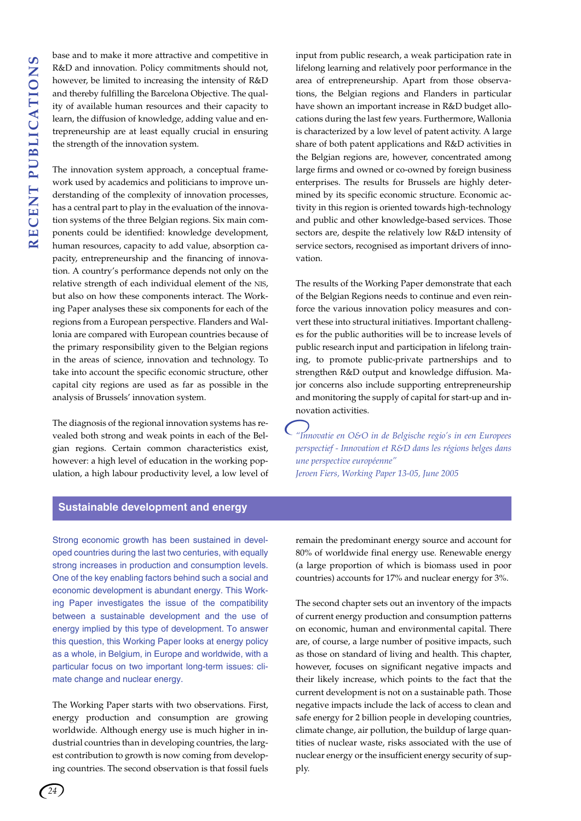base and to make it more attractive and competitive in R&D and innovation. Policy commitments should not, however, be limited to increasing the intensity of R&D and thereby fulfilling the Barcelona Objective. The quality of available human resources and their capacity to learn, the diffusion of knowledge, adding value and entrepreneurship are at least equally crucial in ensuring the strength of the innovation system.

The innovation system approach, a conceptual framework used by academics and politicians to improve understanding of the complexity of innovation processes, has a central part to play in the evaluation of the innovation systems of the three Belgian regions. Six main components could be identified: knowledge development, human resources, capacity to add value, absorption capacity, entrepreneurship and the financing of innovation. A country's performance depends not only on the relative strength of each individual element of the NIS, but also on how these components interact. The Working Paper analyses these six components for each of the regions from a European perspective. Flanders and Wallonia are compared with European countries because of the primary responsibility given to the Belgian regions in the areas of science, innovation and technology. To take into account the specific economic structure, other capital city regions are used as far as possible in the analysis of Brussels' innovation system.

The diagnosis of the regional innovation systems has revealed both strong and weak points in each of the Belgian regions. Certain common characteristics exist, however: a high level of education in the working population, a high labour productivity level, a low level of input from public research, a weak participation rate in lifelong learning and relatively poor performance in the area of entrepreneurship. Apart from those observations, the Belgian regions and Flanders in particular have shown an important increase in R&D budget allocations during the last few years. Furthermore, Wallonia is characterized by a low level of patent activity. A large share of both patent applications and R&D activities in the Belgian regions are, however, concentrated among large firms and owned or co-owned by foreign business enterprises. The results for Brussels are highly determined by its specific economic structure. Economic activity in this region is oriented towards high-technology and public and other knowledge-based services. Those sectors are, despite the relatively low R&D intensity of service sectors, recognised as important drivers of innovation.

The results of the Working Paper demonstrate that each of the Belgian Regions needs to continue and even reinforce the various innovation policy measures and convert these into structural initiatives. Important challenges for the public authorities will be to increase levels of public research input and participation in lifelong training, to promote public-private partnerships and to strengthen R&D output and knowledge diffusion. Major concerns also include supporting entrepreneurship and monitoring the supply of capital for start-up and innovation activities.

*"Innovatie en O&O in de Belgische regio's in een Europees perspectief - Innovation et R&D dans les régions belges dans une perspective européenne" Jeroen Fiers, Working Paper 13-05, June 2005*

#### **Sustainable development and energy**

Strong economic growth has been sustained in developed countries during the last two centuries, with equally strong increases in production and consumption levels. One of the key enabling factors behind such a social and economic development is abundant energy. This Working Paper investigates the issue of the compatibility between a sustainable development and the use of energy implied by this type of development. To answer this question, this Working Paper looks at energy policy as a whole, in Belgium, in Europe and worldwide, with a particular focus on two important long-term issues: climate change and nuclear energy.

The Working Paper starts with two observations. First, energy production and consumption are growing worldwide. Although energy use is much higher in industrial countries than in developing countries, the largest contribution to growth is now coming from developing countries. The second observation is that fossil fuels

remain the predominant energy source and account for 80% of worldwide final energy use. Renewable energy (a large proportion of which is biomass used in poor countries) accounts for 17% and nuclear energy for 3%.

The second chapter sets out an inventory of the impacts of current energy production and consumption patterns on economic, human and environmental capital. There are, of course, a large number of positive impacts, such as those on standard of living and health. This chapter, however, focuses on significant negative impacts and their likely increase, which points to the fact that the current development is not on a sustainable path. Those negative impacts include the lack of access to clean and safe energy for 2 billion people in developing countries, climate change, air pollution, the buildup of large quantities of nuclear waste, risks associated with the use of nuclear energy or the insufficient energy security of supply.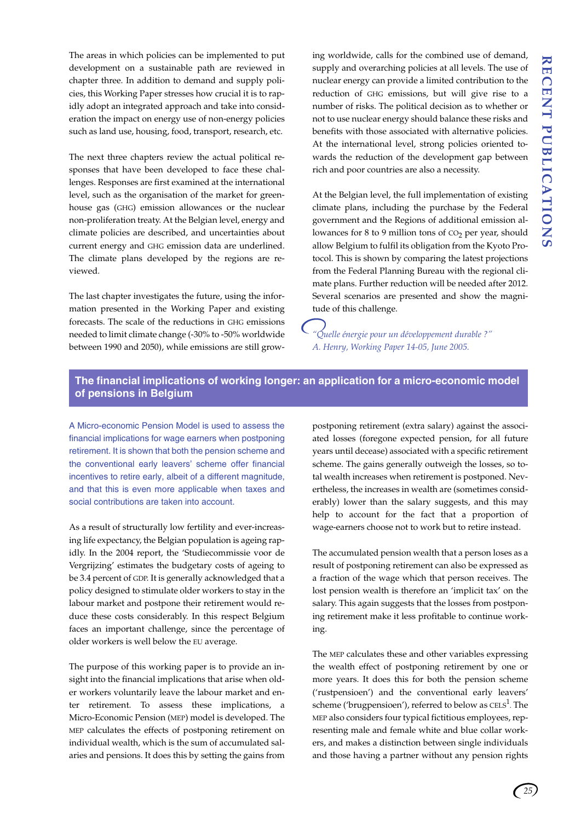The areas in which policies can be implemented to put development on a sustainable path are reviewed in chapter three. In addition to demand and supply policies, this Working Paper stresses how crucial it is to rapidly adopt an integrated approach and take into consideration the impact on energy use of non-energy policies such as land use, housing, food, transport, research, etc.

The next three chapters review the actual political responses that have been developed to face these challenges. Responses are first examined at the international level, such as the organisation of the market for greenhouse gas (GHG) emission allowances or the nuclear non-proliferation treaty. At the Belgian level, energy and climate policies are described, and uncertainties about current energy and GHG emission data are underlined. The climate plans developed by the regions are reviewed.

The last chapter investigates the future, using the information presented in the Working Paper and existing forecasts. The scale of the reductions in GHG emissions needed to limit climate change (-30% to -50% worldwide between 1990 and 2050), while emissions are still growing worldwide, calls for the combined use of demand, supply and overarching policies at all levels. The use of nuclear energy can provide a limited contribution to the reduction of GHG emissions, but will give rise to a number of risks. The political decision as to whether or not to use nuclear energy should balance these risks and benefits with those associated with alternative policies. At the international level, strong policies oriented towards the reduction of the development gap between rich and poor countries are also a necessity.

At the Belgian level, the full implementation of existing climate plans, including the purchase by the Federal government and the Regions of additional emission allowances for  $8$  to  $9$  million tons of  $CO<sub>2</sub>$  per year, should allow Belgium to fulfil its obligation from the Kyoto Protocol. This is shown by comparing the latest projections from the Federal Planning Bureau with the regional climate plans. Further reduction will be needed after 2012. Several scenarios are presented and show the magnitude of this challenge.

*"Quelle énergie pour un développement durable ?" A. Henry, Working Paper 14-05, June 2005.*

## **The financial implications of working longer: an application for a micro-economic model of pensions in Belgium**

A Micro-economic Pension Model is used to assess the financial implications for wage earners when postponing retirement. It is shown that both the pension scheme and the conventional early leavers' scheme offer financial incentives to retire early, albeit of a different magnitude, and that this is even more applicable when taxes and social contributions are taken into account.

As a result of structurally low fertility and ever-increasing life expectancy, the Belgian population is ageing rapidly. In the 2004 report, the 'Studiecommissie voor de Vergrijzing' estimates the budgetary costs of ageing to be 3.4 percent of GDP. It is generally acknowledged that a policy designed to stimulate older workers to stay in the labour market and postpone their retirement would reduce these costs considerably. In this respect Belgium faces an important challenge, since the percentage of older workers is well below the EU average.

The purpose of this working paper is to provide an insight into the financial implications that arise when older workers voluntarily leave the labour market and enter retirement. To assess these implications, a Micro-Economic Pension (MEP) model is developed. The MEP calculates the effects of postponing retirement on individual wealth, which is the sum of accumulated salaries and pensions. It does this by setting the gains from postponing retirement (extra salary) against the associated losses (foregone expected pension, for all future years until decease) associated with a specific retirement scheme. The gains generally outweigh the losses, so total wealth increases when retirement is postponed. Nevertheless, the increases in wealth are (sometimes considerably) lower than the salary suggests, and this may help to account for the fact that a proportion of wage-earners choose not to work but to retire instead.

The accumulated pension wealth that a person loses as a result of postponing retirement can also be expressed as a fraction of the wage which that person receives. The lost pension wealth is therefore an 'implicit tax' on the salary. This again suggests that the losses from postponing retirement make it less profitable to continue working.

The MEP calculates these and other variables expressing the wealth effect of postponing retirement by one or more years. It does this for both the pension scheme ('rustpensioen') and the conventional early leavers' scheme ('brugpensioen'), referred to below as  $CELS<sup>1</sup>$ . The MEP also considers four typical fictitious employees, representing male and female white and blue collar workers, and makes a distinction between single individuals and those having a partner without any pension rights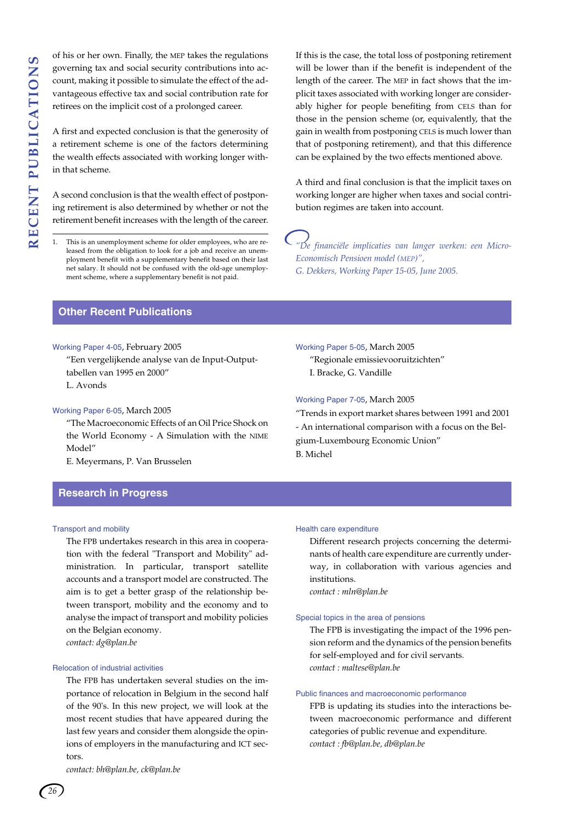of his or her own. Finally, the MEP takes the regulations governing tax and social security contributions into account, making it possible to simulate the effect of the advantageous effective tax and social contribution rate for retirees on the implicit cost of a prolonged career.

A first and expected conclusion is that the generosity of a retirement scheme is one of the factors determining the wealth effects associated with working longer within that scheme.

A second conclusion is that the wealth effect of postponing retirement is also determined by whether or not the retirement benefit increases with the length of the career.

If this is the case, the total loss of postponing retirement will be lower than if the benefit is independent of the length of the career. The MEP in fact shows that the implicit taxes associated with working longer are considerably higher for people benefiting from CELS than for those in the pension scheme (or, equivalently, that the gain in wealth from postponing CELS is much lower than that of postponing retirement), and that this difference can be explained by the two effects mentioned above.

A third and final conclusion is that the implicit taxes on working longer are higher when taxes and social contribution regimes are taken into account.

*"De financiële implicaties van langer werken: een Micro-Economisch Pensioen model (MEP)", G. Dekkers, Working Paper 15-05, June 2005.*

"Trends in export market shares between 1991 and 2001 - An international comparison with a focus on the Bel-

## **Other Recent Publications**

#### Working Paper 4-05, February 2005

"Een vergelijkende analyse van de Input-Outputtabellen van 1995 en 2000" L. Avonds

#### Working Paper 6-05, March 2005

"The Macroeconomic Effects of an Oil Price Shock on the World Economy - A Simulation with the NIME Model"

E. Meyermans, P. Van Brusselen

#### **Research in Progress**

#### Transport and mobility

The FPB undertakes research in this area in cooperation with the federal "Transport and Mobility" administration. In particular, transport satellite accounts and a transport model are constructed. The aim is to get a better grasp of the relationship between transport, mobility and the economy and to analyse the impact of transport and mobility policies on the Belgian economy. *contact: dg@plan.be*

#### Relocation of industrial activities

The FPB has undertaken several studies on the importance of relocation in Belgium in the second half of the 90's. In this new project, we will look at the most recent studies that have appeared during the last few years and consider them alongside the opinions of employers in the manufacturing and ICT sectors.

*contact: bh@plan.be, ck@plan.be*

B. Michel

Working Paper 5-05, March 2005

I. Bracke, G. Vandille

Working Paper 7-05, March 2005

gium-Luxembourg Economic Union"

"Regionale emissievooruitzichten"

#### Health care expenditure

Different research projects concerning the determinants of health care expenditure are currently underway, in collaboration with various agencies and institutions.

*contact : mln@plan.be*

#### Special topics in the area of pensions

The FPB is investigating the impact of the 1996 pension reform and the dynamics of the pension benefits for self-employed and for civil servants. *contact : maltese@plan.be*

#### Public finances and macroeconomic performance

FPB is updating its studies into the interactions between macroeconomic performance and different categories of public revenue and expenditure. *contact : fb@plan.be, db@plan.be*

This is an unemployment scheme for older employees, who are released from the obligation to look for a job and receive an unemployment benefit with a supplementary benefit based on their last net salary. It should not be confused with the old-age unemployment scheme, where a supplementary benefit is not paid.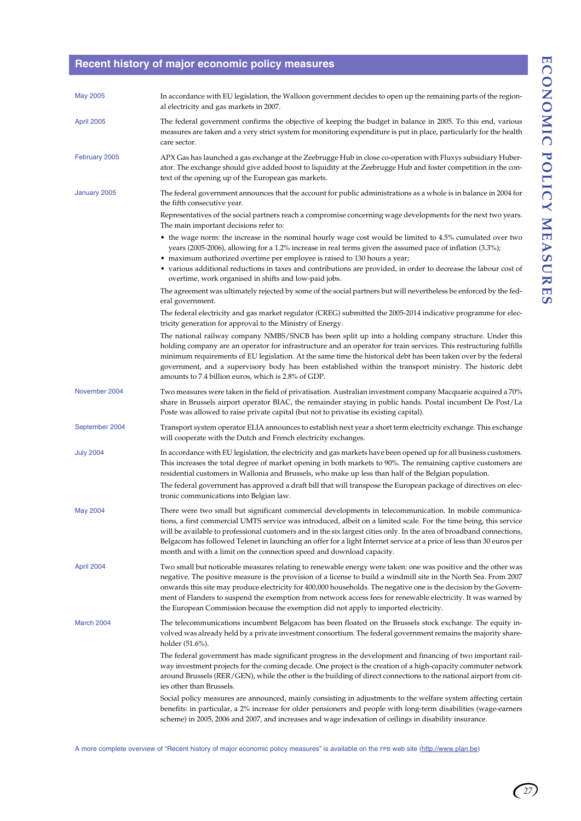## **Recent history of major economic policy measures**

| <b>May 2005</b>   | In accordance with EU legislation, the Walloon government decides to open up the remaining parts of the region-<br>al electricity and gas markets in 2007.                                                                                                                                                                                                                                                                                                                                                                                                        |
|-------------------|-------------------------------------------------------------------------------------------------------------------------------------------------------------------------------------------------------------------------------------------------------------------------------------------------------------------------------------------------------------------------------------------------------------------------------------------------------------------------------------------------------------------------------------------------------------------|
| <b>April 2005</b> | The federal government confirms the objective of keeping the budget in balance in 2005. To this end, various<br>measures are taken and a very strict system for monitoring expenditure is put in place, particularly for the health<br>care sector.                                                                                                                                                                                                                                                                                                               |
| February 2005     | APX Gas has launched a gas exchange at the Zeebrugge Hub in close co-operation with Fluxys subsidiary Huber-<br>ator. The exchange should give added boost to liquidity at the Zeebrugge Hub and foster competition in the con-<br>text of the opening up of the European gas markets.                                                                                                                                                                                                                                                                            |
| January 2005      | The federal government announces that the account for public administrations as a whole is in balance in 2004 for<br>the fifth consecutive year.                                                                                                                                                                                                                                                                                                                                                                                                                  |
|                   | Representatives of the social partners reach a compromise concerning wage developments for the next two years.<br>The main important decisions refer to:                                                                                                                                                                                                                                                                                                                                                                                                          |
|                   | • the wage norm: the increase in the nominal hourly wage cost would be limited to 4.5% cumulated over two<br>years (2005-2006), allowing for a 1.2% increase in real terms given the assumed pace of inflation (3.3%);<br>• maximum authorized overtime per employee is raised to 130 hours a year;<br>• various additional reductions in taxes and contributions are provided, in order to decrease the labour cost of<br>overtime, work organised in shifts and low-paid jobs.                                                                                  |
|                   | The agreement was ultimately rejected by some of the social partners but will nevertheless be enforced by the fed-<br>eral government.                                                                                                                                                                                                                                                                                                                                                                                                                            |
|                   | The federal electricity and gas market regulator (CREG) submitted the 2005-2014 indicative programme for elec-<br>tricity generation for approval to the Ministry of Energy.                                                                                                                                                                                                                                                                                                                                                                                      |
|                   | The national railway company NMBS/SNCB has been split up into a holding company structure. Under this<br>holding company are an operator for infrastructure and an operator for train services. This restructuring fulfills<br>minimum requirements of EU legislation. At the same time the historical debt has been taken over by the federal<br>government, and a supervisory body has been established within the transport ministry. The historic debt<br>amounts to 7.4 billion euros, which is 2.8% of GDP.                                                 |
| November 2004     | Two measures were taken in the field of privatisation. Australian investment company Macquarie acquired a 70%<br>share in Brussels airport operator BIAC, the remainder staying in public hands. Postal incumbent De Post/La<br>Poste was allowed to raise private capital (but not to privatise its existing capital).                                                                                                                                                                                                                                           |
| September 2004    | Transport system operator ELIA announces to establish next year a short term electricity exchange. This exchange<br>will cooperate with the Dutch and French electricity exchanges.                                                                                                                                                                                                                                                                                                                                                                               |
| <b>July 2004</b>  | In accordance with EU legislation, the electricity and gas markets have been opened up for all business customers.<br>This increases the total degree of market opening in both markets to 90%. The remaining captive customers are<br>residential customers in Wallonia and Brussels, who make up less than half of the Belgian population.                                                                                                                                                                                                                      |
|                   | The federal government has approved a draft bill that will transpose the European package of directives on elec-<br>tronic communications into Belgian law.                                                                                                                                                                                                                                                                                                                                                                                                       |
| <b>May 2004</b>   | There were two small but significant commercial developments in telecommunication. In mobile communica-<br>tions, a first commercial UMTS service was introduced, albeit on a limited scale. For the time being, this service<br>will be available to professional customers and in the six largest cities only. In the area of broadband connections,<br>Belgacom has followed Telenet in launching an offer for a light Internet service at a price of less than 30 euros per<br>month and with a limit on the connection speed and download capacity.          |
| April 2004        | Two small but noticeable measures relating to renewable energy were taken: one was positive and the other was<br>negative. The positive measure is the provision of a license to build a windmill site in the North Sea. From 2007<br>onwards this site may produce electricity for 400,000 households. The negative one is the decision by the Govern-<br>ment of Flanders to suspend the exemption from network access fees for renewable electricity. It was warned by<br>the European Commission because the exemption did not apply to imported electricity. |
| March 2004        | The telecommunications incumbent Belgacom has been floated on the Brussels stock exchange. The equity in-<br>volved was already held by a private investment consortium. The federal government remains the majority share-<br>holder (51.6%).                                                                                                                                                                                                                                                                                                                    |
|                   | The federal government has made significant progress in the development and financing of two important rail-<br>way investment projects for the coming decade. One project is the creation of a high-capacity commuter network<br>around Brussels (RER/GEN), while the other is the building of direct connections to the national airport from cit-<br>ies other than Brussels.                                                                                                                                                                                  |
|                   | Social policy measures are announced, mainly consisting in adjustments to the welfare system affecting certain<br>benefits: in particular, a 2% increase for older pensioners and people with long-term disabilities (wage-earners<br>scheme) in 2005, 2006 and 2007, and increases and wage indexation of ceilings in disability insurance.                                                                                                                                                                                                                      |

A more complete overview of "Recent history of major economic policy measures" is available on the FPB web site (http://www.plan.be)